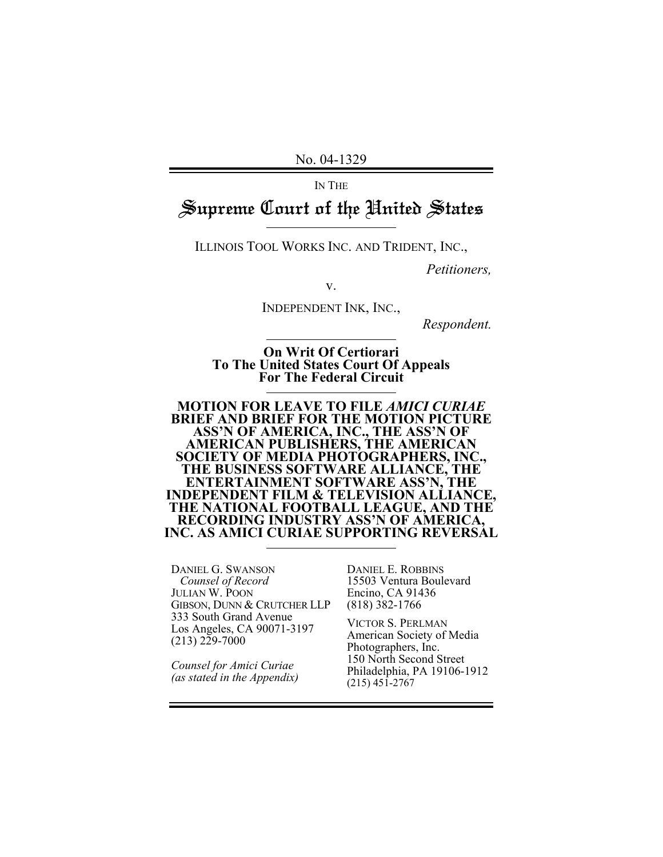No. 04-1329

IN THE

# Supreme Court of the United States

ILLINOIS TOOL WORKS INC. AND TRIDENT, INC.,

*Petitioners,*

v.

INDEPENDENT INK, INC.,

*Respondent.*

**On Writ Of Certiorari To The United States Court Of Appeals For The Federal Circuit** 

**MOTION FOR LEAVE TO FILE** *AMICI CURIAE*  **BRIEF AND BRIEF FOR THE MOTION PICTURE ASS'N OF AMERICA, INC., THE ASS'N OF AMERICAN PUBLISHERS, THE AMERICAN SOCIETY OF MEDIA PHOTOGRAPHERS, INC., THE BUSINESS SOFTWARE ALLIANCE, THE ENTERTAINMENT SOFTWARE ASS'N, THE INDEPENDENT FILM & TELEVISION ALLIANCE, THE NATIONAL FOOTBALL LEAGUE, AND THE RECORDING INDUSTRY ASS'N OF AMERICA, INC. AS AMICI CURIAE SUPPORTING REVERSAL** 

DANIEL G. SWANSON  *Counsel of Record*  JULIAN W. POON GIBSON, DUNN & CRUTCHER LLP 333 South Grand Avenue Los Angeles, CA 90071-3197  $(213)$   $2\overline{2}9 - 7000$ 

*Counsel for Amici Curiae (as stated in the Appendix)* DANIEL E. ROBBINS 15503 Ventura Boulevard Encino, CA 91436 (818) 382-1766

VICTOR S. PERLMAN American Society of Media Photographers, Inc. 150 North Second Street Philadelphia, PA 19106-1912 (215) 451-2767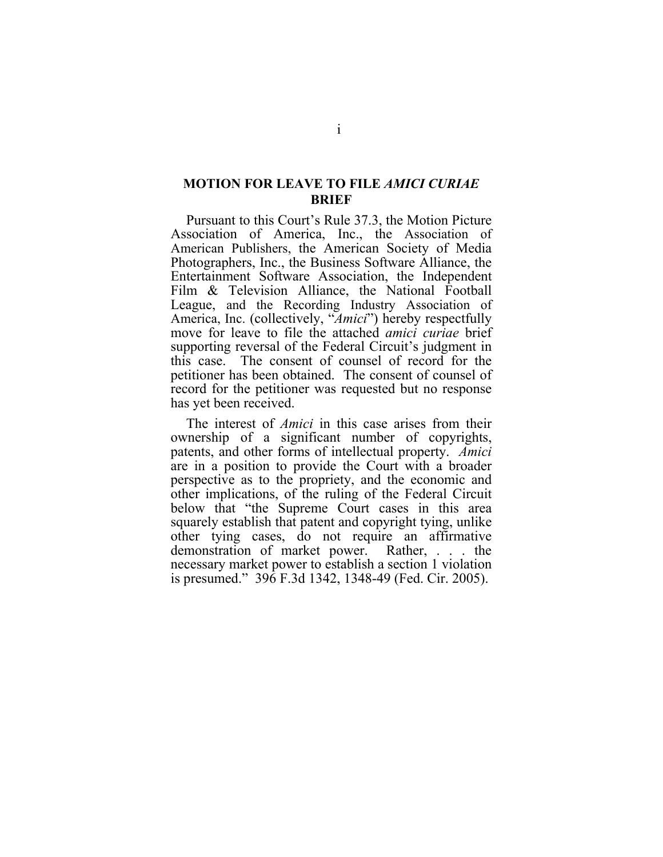### <span id="page-1-0"></span>**MOTION FOR LEAVE TO FILE** *AMICI CURIAE* **BRIEF**

Pursuant to this Court's Rule 37.3, the Motion Picture Association of America, Inc., the Association of American Publishers, the American Society of Media Photographers, Inc., the Business Software Alliance, the Entertainment Software Association, the Independent Film & Television Alliance, the National Football League, and the Recording Industry Association of America, Inc. (collectively, "*Amici*") hereby respectfully move for leave to file the attached *amici curiae* brief supporting reversal of the Federal Circuit's judgment in this case. The consent of counsel of record for the petitioner has been obtained. The consent of counsel of record for the petitioner was requested but no response has yet been received.

The interest of *Amici* in this case arises from their ownership of a significant number of copyrights, patents, and other forms of intellectual property. *Amici* are in a position to provide the Court with a broader perspective as to the propriety, and the economic and other implications, of the ruling of the Federal Circuit below that "the Supreme Court cases in this area squarely establish that patent and copyright tying, unlike other tying cases, do not require an affirmative demonstration of market power. Rather, . . . the necessary market power to establish a section 1 violation is presumed." 396 F.3d 1342, 1348-49 (Fed. Cir. 2005).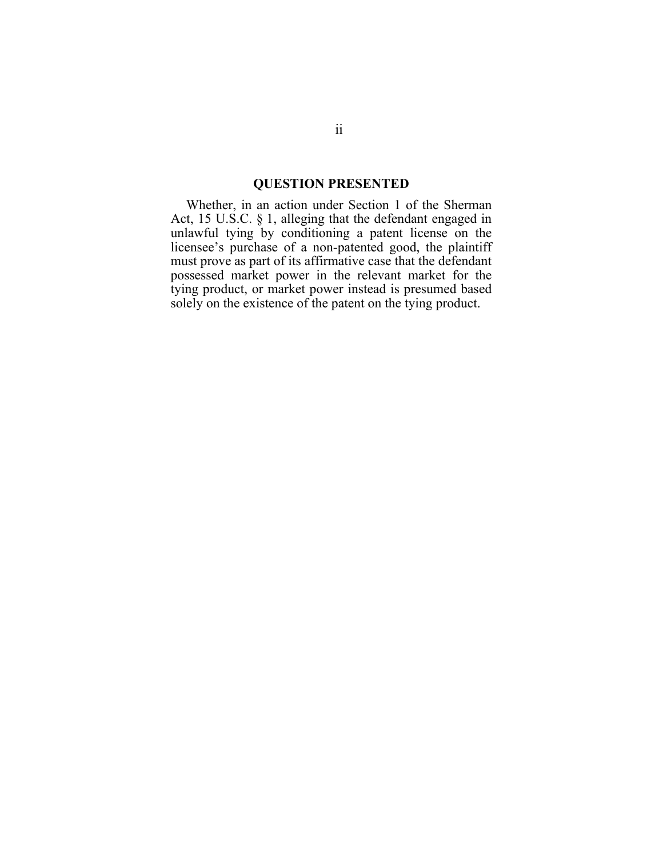#### **QUESTION PRESENTED**

<span id="page-2-0"></span>Whether, in an action under Section 1 of the Sherman Act, 15 U.S.C. § 1, alleging that the defendant engaged in unlawful tying by conditioning a patent license on the licensee's purchase of a non-patented good, the plaintiff must prove as part of its affirmative case that the defendant possessed market power in the relevant market for the tying product, or market power instead is presumed based solely on the existence of the patent on the tying product.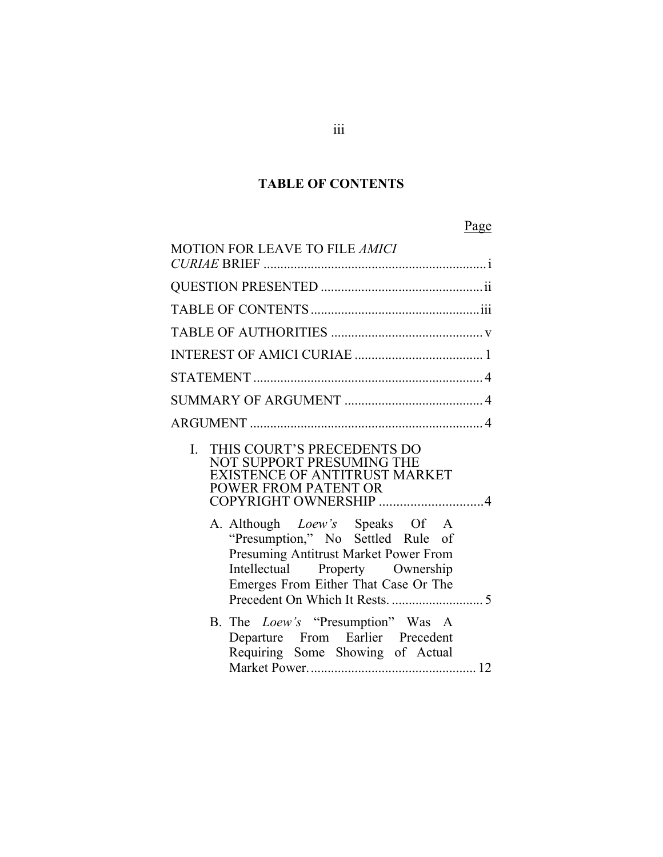## **TABLE OF CONTENTS**

<span id="page-3-0"></span>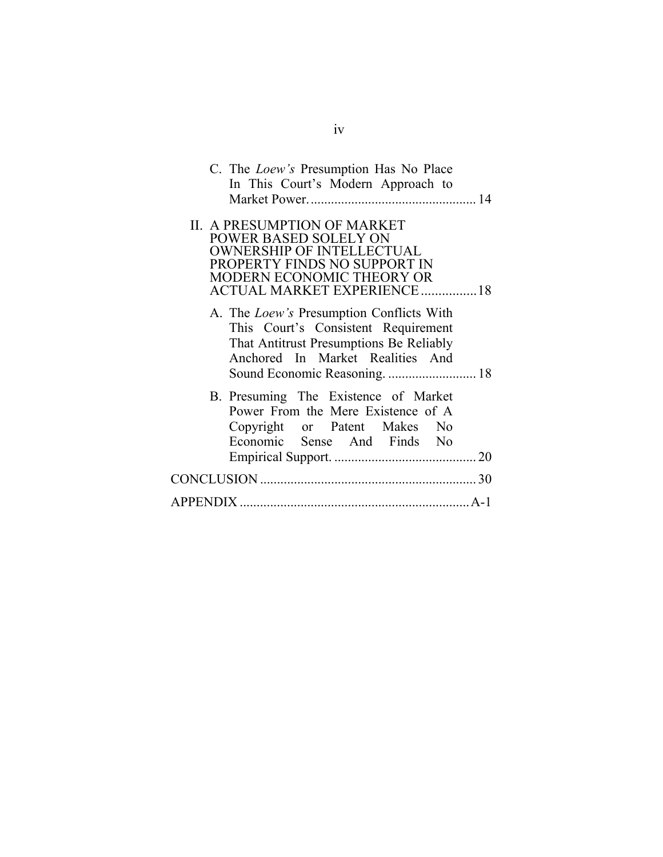| C. The <i>Loew's</i> Presumption Has No Place<br>In This Court's Modern Approach to                                                                                                                |
|----------------------------------------------------------------------------------------------------------------------------------------------------------------------------------------------------|
|                                                                                                                                                                                                    |
| <b>II. A PRESUMPTION OF MARKET</b><br><b>POWER BASED SOLELY ON</b><br><b>OWNERSHIP OF INTELLECTUAL</b><br>PROPERTY FINDS NO SUPPORT IN<br>MODERN ECONOMIC THEORY OR<br>ACTUAL MARKET EXPERIENCE 18 |
| A. The <i>Loew's</i> Presumption Conflicts With<br>This Court's Consistent Requirement<br>That Antitrust Presumptions Be Reliably<br>Anchored In Market Realities And                              |
| B. Presuming The Existence of Market<br>Power From the Mere Existence of A<br>Copyright or Patent Makes No<br>Economic Sense And Finds No                                                          |
|                                                                                                                                                                                                    |
|                                                                                                                                                                                                    |
|                                                                                                                                                                                                    |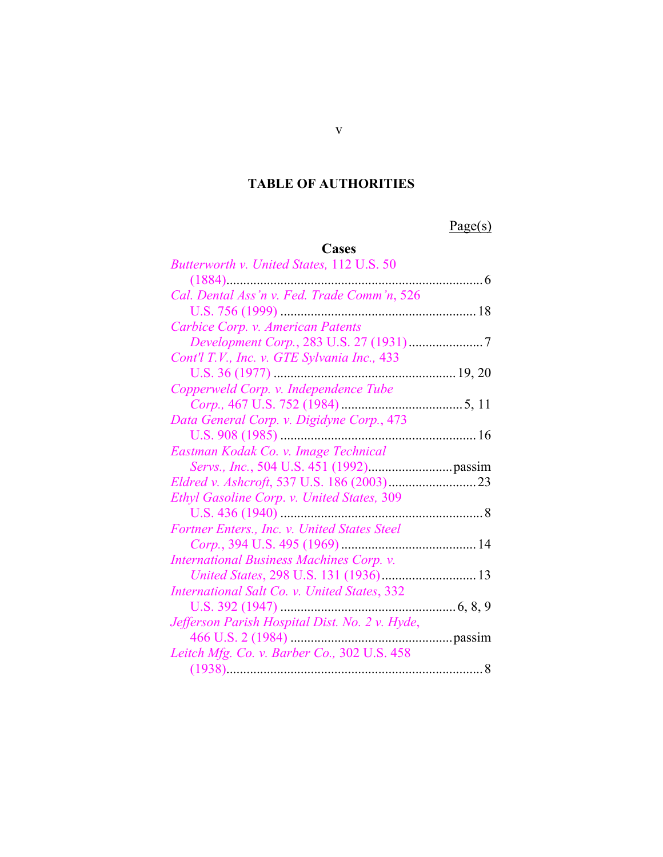## <span id="page-5-0"></span>**TABLE OF AUTHORITIES**

Page(s)

# **Cases**

| Butterworth v. United States, 112 U.S. 50      |  |
|------------------------------------------------|--|
|                                                |  |
| Cal. Dental Ass'n v. Fed. Trade Comm'n, 526    |  |
|                                                |  |
| Carbice Corp. v. American Patents              |  |
| Development Corp., 283 U.S. 27 (1931)7         |  |
| Cont'l T.V., Inc. v. GTE Sylvania Inc., 433    |  |
|                                                |  |
| Copperweld Corp. v. Independence Tube          |  |
|                                                |  |
| Data General Corp. v. Digidyne Corp., 473      |  |
|                                                |  |
| Eastman Kodak Co. v. Image Technical           |  |
|                                                |  |
|                                                |  |
| Ethyl Gasoline Corp. v. United States, 309     |  |
|                                                |  |
| Fortner Enters., Inc. v. United States Steel   |  |
|                                                |  |
| International Business Machines Corp. v.       |  |
|                                                |  |
| International Salt Co. v. United States, 332   |  |
|                                                |  |
| Jefferson Parish Hospital Dist. No. 2 v. Hyde, |  |
|                                                |  |
| Leitch Mfg. Co. v. Barber Co., 302 U.S. 458    |  |
|                                                |  |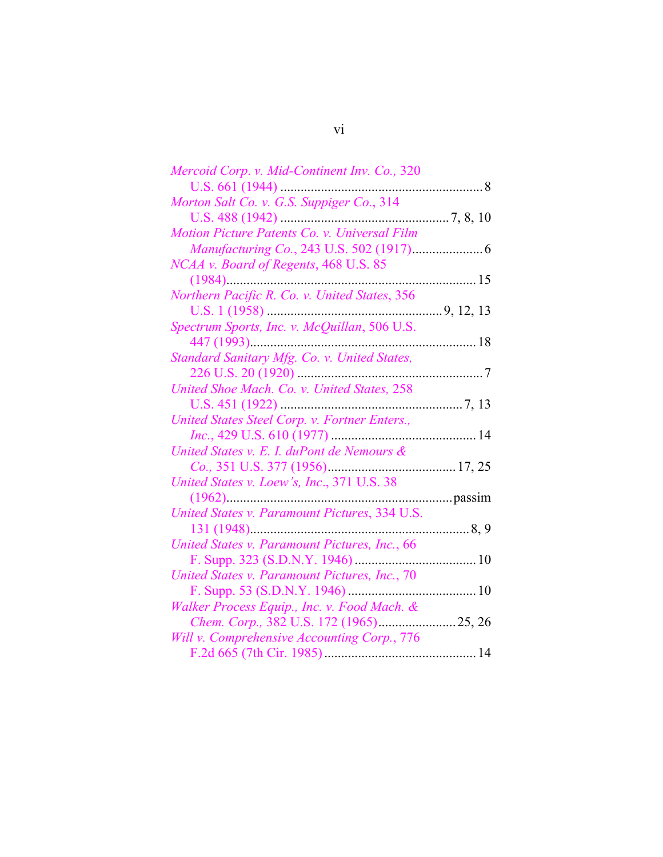| Mercoid Corp. v. Mid-Continent Inv. Co., 320  |        |
|-----------------------------------------------|--------|
|                                               |        |
| Morton Salt Co. v. G.S. Suppiger Co., 314     |        |
|                                               |        |
| Motion Picture Patents Co. v. Universal Film  |        |
|                                               |        |
| <i>NCAA v. Board of Regents, 468 U.S. 85</i>  |        |
|                                               |        |
| Northern Pacific R. Co. v. United States, 356 |        |
|                                               |        |
| Spectrum Sports, Inc. v. McQuillan, 506 U.S.  |        |
| 447 (1993)                                    |        |
| Standard Sanitary Mfg. Co. v. United States,  |        |
|                                               |        |
| United Shoe Mach. Co. v. United States, 258   |        |
|                                               |        |
| United States Steel Corp. v. Fortner Enters., |        |
|                                               |        |
| United States v. E. I. duPont de Nemours &    |        |
|                                               |        |
| United States v. Loew's, Inc., 371 U.S. 38    |        |
|                                               |        |
| United States v. Paramount Pictures, 334 U.S. |        |
|                                               |        |
| United States v. Paramount Pictures, Inc., 66 |        |
|                                               |        |
| United States v. Paramount Pictures, Inc., 70 |        |
|                                               |        |
| Walker Process Equip., Inc. v. Food Mach. &   |        |
|                                               | 25, 26 |
| Will v. Comprehensive Accounting Corp., 776   |        |
|                                               |        |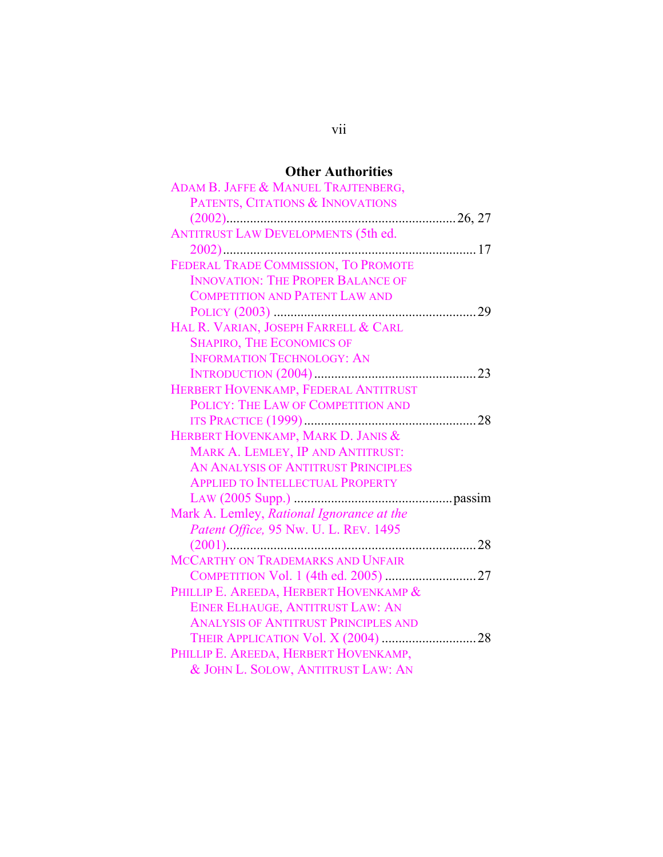# **Other Authorities**

| ADAM B. JAFFE & MANUEL TRAJTENBERG,         |
|---------------------------------------------|
| PATENTS, CITATIONS & INNOVATIONS            |
|                                             |
| <b>ANTITRUST LAW DEVELOPMENTS (5th ed.</b>  |
|                                             |
| FEDERAL TRADE COMMISSION, TO PROMOTE        |
| <b>INNOVATION: THE PROPER BALANCE OF</b>    |
| <b>COMPETITION AND PATENT LAW AND</b>       |
|                                             |
| HAL R. VARIAN, JOSEPH FARRELL & CARL        |
| <b>SHAPIRO, THE ECONOMICS OF</b>            |
| <b>INFORMATION TECHNOLOGY: AN</b>           |
|                                             |
| HERBERT HOVENKAMP, FEDERAL ANTITRUST        |
| POLICY: THE LAW OF COMPETITION AND          |
|                                             |
| HERBERT HOVENKAMP, MARK D. JANIS &          |
|                                             |
| MARK A. LEMLEY, IP AND ANTITRUST:           |
| AN ANALYSIS OF ANTITRUST PRINCIPLES         |
| <b>APPLIED TO INTELLECTUAL PROPERTY</b>     |
|                                             |
| Mark A. Lemley, Rational Ignorance at the   |
| Patent Office, 95 Nw. U. L. REV. 1495       |
|                                             |
| MCCARTHY ON TRADEMARKS AND UNFAIR           |
|                                             |
| PHILLIP E. AREEDA, HERBERT HOVENKAMP &      |
| EINER ELHAUGE, ANTITRUST LAW: AN            |
| <b>ANALYSIS OF ANTITRUST PRINCIPLES AND</b> |
|                                             |
| PHILLIP E. AREEDA, HERBERT HOVENKAMP,       |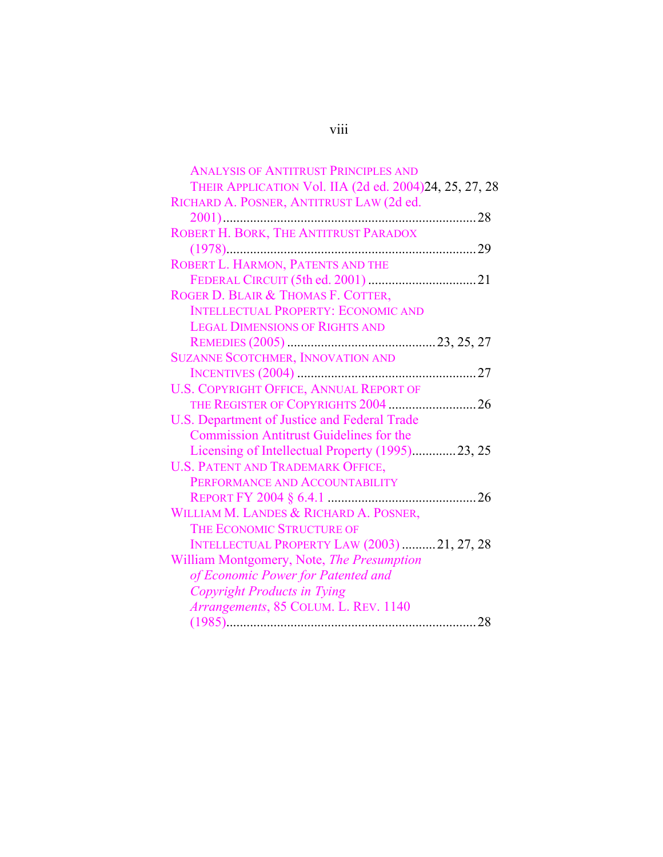| <b>ANALYSIS OF ANTITRUST PRINCIPLES AND</b><br>THEIR APPLICATION Vol. IIA (2d ed. 2004)24, 25, 27, 28 |
|-------------------------------------------------------------------------------------------------------|
| RICHARD A. POSNER, ANTITRUST LAW (2d ed.                                                              |
|                                                                                                       |
| ROBERT H. BORK, THE ANTITRUST PARADOX                                                                 |
| 29                                                                                                    |
| ROBERT L. HARMON, PATENTS AND THE                                                                     |
|                                                                                                       |
| ROGER D. BLAIR & THOMAS F. COTTER,                                                                    |
| <b>INTELLECTUAL PROPERTY: ECONOMIC AND</b>                                                            |
| <b>LEGAL DIMENSIONS OF RIGHTS AND</b>                                                                 |
|                                                                                                       |
| <b>SUZANNE SCOTCHMER, INNOVATION AND</b>                                                              |
|                                                                                                       |
| <b>U.S. COPYRIGHT OFFICE, ANNUAL REPORT OF</b>                                                        |
| THE REGISTER OF COPYRIGHTS 2004  26                                                                   |
| U.S. Department of Justice and Federal Trade                                                          |
| <b>Commission Antitrust Guidelines for the</b>                                                        |
| Licensing of Intellectual Property (1995)23, 25                                                       |
| <b>U.S. PATENT AND TRADEMARK OFFICE,</b>                                                              |
| PERFORMANCE AND ACCOUNTABILITY                                                                        |
|                                                                                                       |
| WILLIAM M. LANDES & RICHARD A. POSNER,                                                                |
| THE ECONOMIC STRUCTURE OF                                                                             |
| <b>INTELLECTUAL PROPERTY LAW (2003) 21, 27, 28</b>                                                    |
| William Montgomery, Note, The Presumption                                                             |
| of Economic Power for Patented and                                                                    |
| Copyright Products in Tying                                                                           |
| Arrangements, 85 COLUM. L. REV. 1140                                                                  |
|                                                                                                       |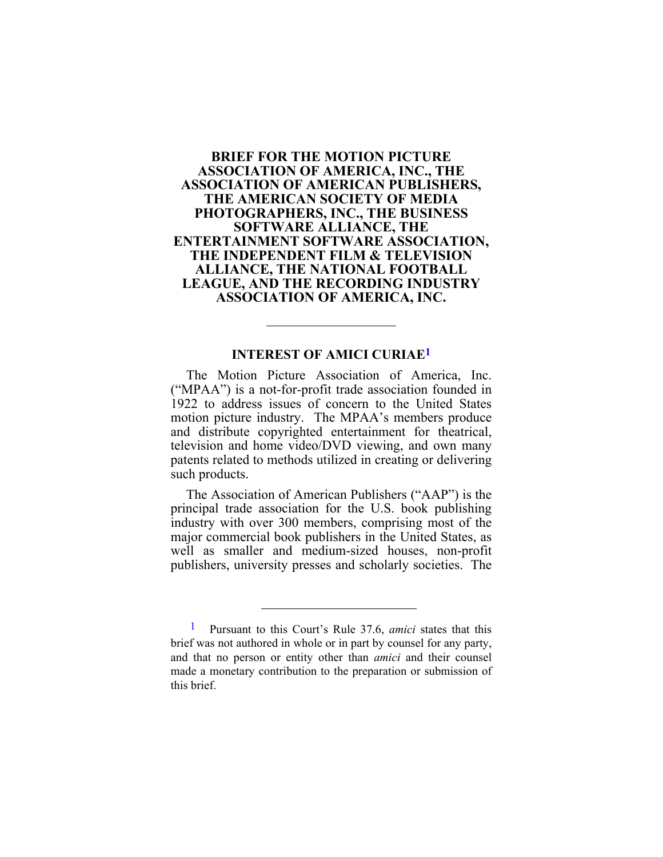### <span id="page-9-0"></span>**BRIEF FOR THE MOTION PICTURE ASSOCIATION OF AMERICA, INC., THE ASSOCIATION OF AMERICAN PUBLISHERS, THE AMERICAN SOCIETY OF MEDIA PHOTOGRAPHERS, INC., THE BUSINESS SOFTWARE ALLIANCE, THE ENTERTAINMENT SOFTWARE ASSOCIATION, THE INDEPENDENT FILM & TELEVISION ALLIANCE, THE NATIONAL FOOTBALL LEAGUE, AND THE RECORDING INDUSTRY ASSOCIATION OF AMERICA, INC.**

#### **INTEREST OF AMICI CURIA[E1](#page-9-1)**

The Motion Picture Association of America, Inc. ("MPAA") is a not-for-profit trade association founded in 1922 to address issues of concern to the United States motion picture industry. The MPAA's members produce and distribute copyrighted entertainment for theatrical, television and home video/DVD viewing, and own many patents related to methods utilized in creating or delivering such products.

The Association of American Publishers ("AAP") is the principal trade association for the U.S. book publishing industry with over 300 members, comprising most of the major commercial book publishers in the United States, as well as smaller and medium-sized houses, non-profit publishers, university presses and scholarly societies. The

<span id="page-9-1"></span><sup>1</sup> Pursuant to this Court's Rule 37.6, *amici* states that this brief was not authored in whole or in part by counsel for any party, and that no person or entity other than *amici* and their counsel made a monetary contribution to the preparation or submission of this brief.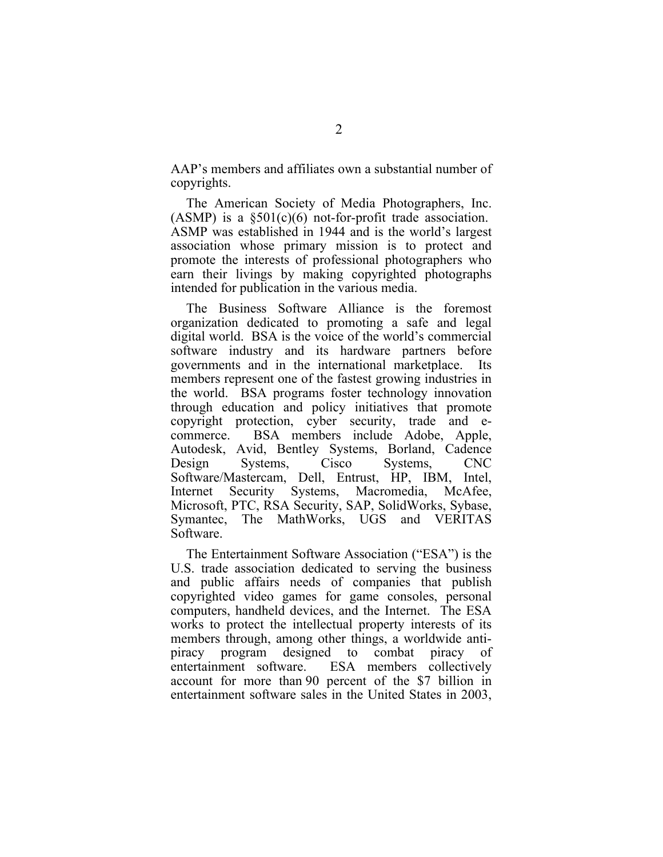AAP's members and affiliates own a substantial number of copyrights.

The American Society of Media Photographers, Inc. (ASMP) is a  $\S501(c)(6)$  not-for-profit trade association. ASMP was established in 1944 and is the world's largest association whose primary mission is to protect and promote the interests of professional photographers who earn their livings by making copyrighted photographs intended for publication in the various media.

The Business Software Alliance is the foremost organization dedicated to promoting a safe and legal digital world. BSA is the voice of the world's commercial software industry and its hardware partners before governments and in the international marketplace. Its members represent one of the fastest growing industries in the world. BSA programs foster technology innovation through education and policy initiatives that promote copyright protection, cyber security, trade and ecommerce. BSA members include Adobe, Apple, Autodesk, Avid, Bentley Systems, Borland, Cadence Design Systems, Cisco Systems, CNC Software/Mastercam, Dell, Entrust, HP, IBM, Intel, Internet Security Systems, Macromedia, McAfee, Microsoft, PTC, RSA Security, SAP, SolidWorks, Sybase, Symantec, The MathWorks, UGS and VERITAS Software.

The Entertainment Software Association ("ESA") is the U.S. trade association dedicated to serving the business and public affairs needs of companies that publish copyrighted video games for game consoles, personal computers, handheld devices, and the Internet. The ESA works to protect the intellectual property interests of its members through, among other things, a worldwide antipiracy program designed to combat piracy of entertainment software. ESA members collectively account for more than 90 percent of the \$7 billion in entertainment software sales in the United States in 2003,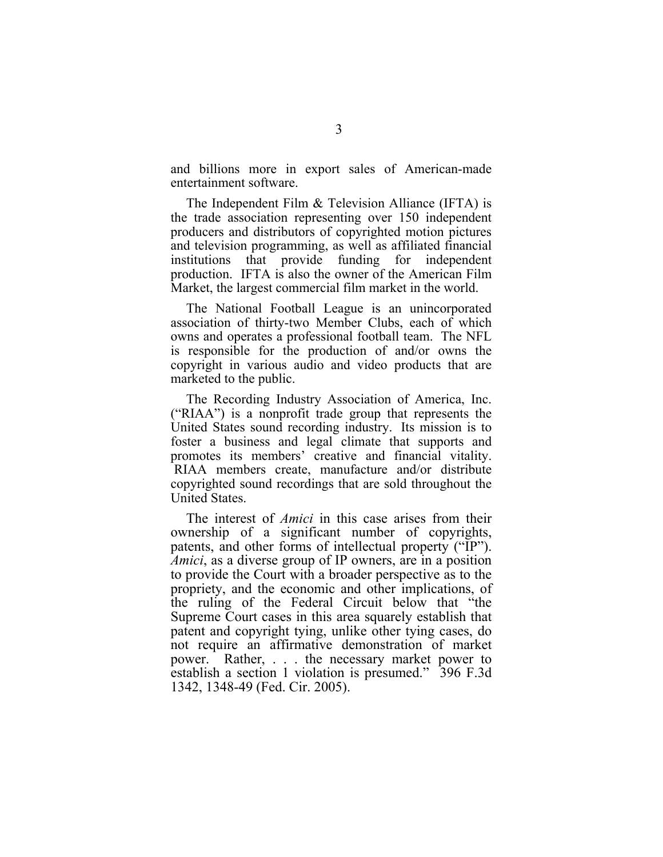and billions more in export sales of American-made entertainment software.

The Independent Film & Television Alliance (IFTA) is the trade association representing over 150 independent producers and distributors of copyrighted motion pictures and television programming, as well as affiliated financial institutions that provide funding for independent production. IFTA is also the owner of the American Film Market, the largest commercial film market in the world.

The National Football League is an unincorporated association of thirty-two Member Clubs, each of which owns and operates a professional football team. The NFL is responsible for the production of and/or owns the copyright in various audio and video products that are marketed to the public.

The Recording Industry Association of America, Inc. ("RIAA") is a nonprofit trade group that represents the United States sound recording industry. Its mission is to foster a business and legal climate that supports and promotes its members' creative and financial vitality. RIAA members create, manufacture and/or distribute copyrighted sound recordings that are sold throughout the United States.

The interest of *Amici* in this case arises from their ownership of a significant number of copyrights, patents, and other forms of intellectual property ("IP"). *Amici*, as a diverse group of IP owners, are in a position to provide the Court with a broader perspective as to the propriety, and the economic and other implications, of the ruling of the Federal Circuit below that "the Supreme Court cases in this area squarely establish that patent and copyright tying, unlike other tying cases, do not require an affirmative demonstration of market power. Rather, . . . the necessary market power to establish a section 1 violation is presumed." 396 F.3d 1342, 1348-49 (Fed. Cir. 2005).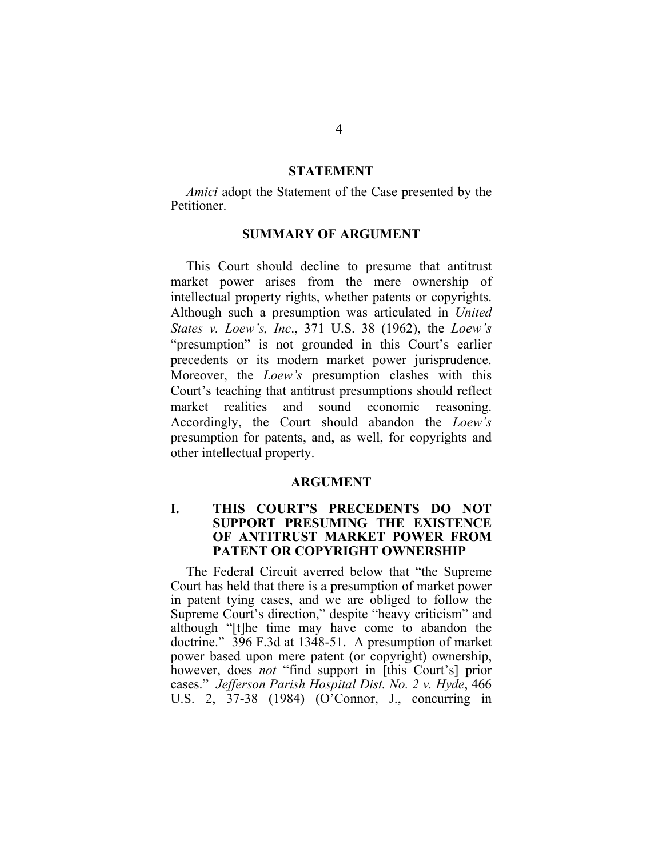#### **STATEMENT**

<span id="page-12-0"></span>*Amici* adopt the Statement of the Case presented by the Petitioner.

### **SUMMARY OF ARGUMENT**

This Court should decline to presume that antitrust market power arises from the mere ownership of intellectual property rights, whether patents or copyrights. Although such a presumption was articulated in *United States v. Loew's, Inc*., 371 U.S. 38 (1962), the *Loew's* "presumption" is not grounded in this Court's earlier precedents or its modern market power jurisprudence. Moreover, the *Loew's* presumption clashes with this Court's teaching that antitrust presumptions should reflect market realities and sound economic reasoning. Accordingly, the Court should abandon the *Loew's* presumption for patents, and, as well, for copyrights and other intellectual property.

### **ARGUMENT**

#### **I. THIS COURT'S PRECEDENTS DO NOT SUPPORT PRESUMING THE EXISTENCE OF ANTITRUST MARKET POWER FROM PATENT OR COPYRIGHT OWNERSHIP**

The Federal Circuit averred below that "the Supreme Court has held that there is a presumption of market power in patent tying cases, and we are obliged to follow the Supreme Court's direction," despite "heavy criticism" and although "[t]he time may have come to abandon the doctrine." 396 F.3d at 1348-51. A presumption of market power based upon mere patent (or copyright) ownership, however, does *not* "find support in [this Court's] prior cases." *Jefferson Parish Hospital Dist. No. 2 v. Hyde*, 466 U.S. 2, 37-38 (1984) (O'Connor, J., concurring in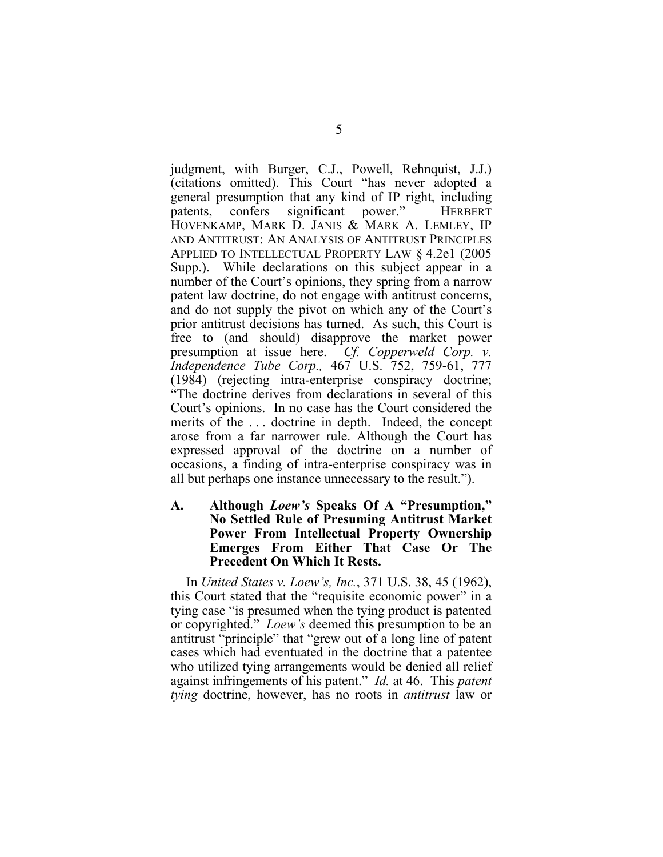<span id="page-13-0"></span>judgment, with Burger, C.J., Powell, Rehnquist, J.J.) (citations omitted). This Court "has never adopted a general presumption that any kind of IP right, including patents, confers significant power." HERBERT HOVENKAMP, MARK D. JANIS & MARK A. LEMLEY, IP AND ANTITRUST: AN ANALYSIS OF ANTITRUST PRINCIPLES APPLIED TO INTELLECTUAL PROPERTY LAW § 4.2e1 (2005 Supp.). While declarations on this subject appear in a number of the Court's opinions, they spring from a narrow patent law doctrine, do not engage with antitrust concerns, and do not supply the pivot on which any of the Court's prior antitrust decisions has turned. As such, this Court is free to (and should) disapprove the market power presumption at issue here. *Cf. Copperweld Corp. v. Independence Tube Corp.,* 467 U.S. 752, 759-61, 777 (1984) (rejecting intra-enterprise conspiracy doctrine; "The doctrine derives from declarations in several of this Court's opinions. In no case has the Court considered the merits of the . . . doctrine in depth. Indeed, the concept arose from a far narrower rule. Although the Court has expressed approval of the doctrine on a number of occasions, a finding of intra-enterprise conspiracy was in all but perhaps one instance unnecessary to the result.").

### **A. Although** *Loew's* **Speaks Of A "Presumption," No Settled Rule of Presuming Antitrust Market Power From Intellectual Property Ownership Emerges From Either That Case Or The Precedent On Which It Rests.**

In *United States v. Loew's, Inc.*, 371 U.S. 38, 45 (1962), this Court stated that the "requisite economic power" in a tying case "is presumed when the tying product is patented or copyrighted." *Loew's* deemed this presumption to be an antitrust "principle" that "grew out of a long line of patent cases which had eventuated in the doctrine that a patentee who utilized tying arrangements would be denied all relief against infringements of his patent." *Id.* at 46. This *patent tying* doctrine, however, has no roots in *antitrust* law or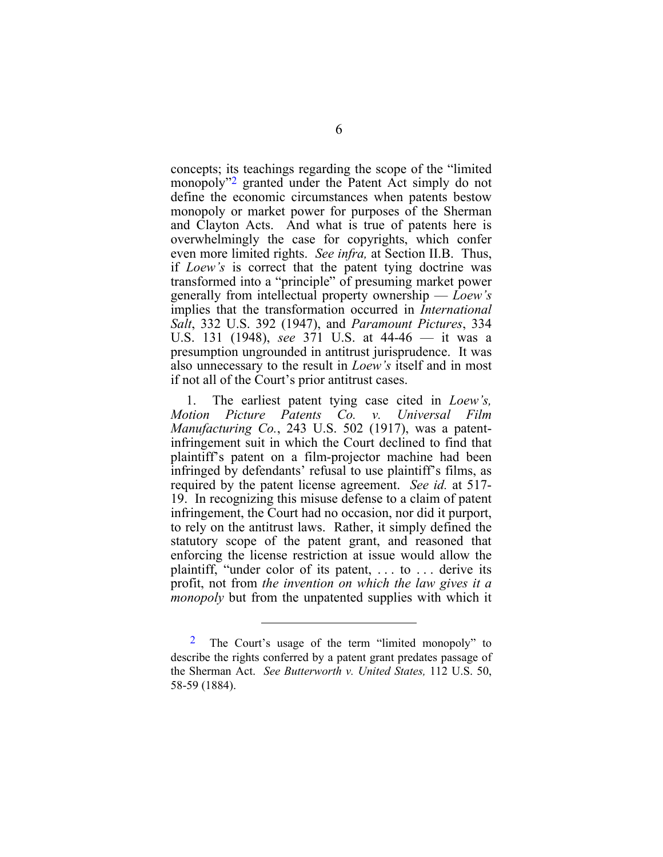concepts; its teachings regarding the scope of the "limited monopoly"2 granted under the Patent Act simply do not define the [e](#page-14-0)conomic circumstances when patents bestow monopoly or market power for purposes of the Sherman and Clayton Acts. And what is true of patents here is overwhelmingly the case for copyrights, which confer even more limited rights. *See infra,* at Section II.B. Thus, if *Loew's* is correct that the patent tying doctrine was transformed into a "principle" of presuming market power generally from intellectual property ownership — *Loew's* implies that the transformation occurred in *International Salt*, 332 U.S. 392 (1947), and *Paramount Pictures*, 334 U.S. 131 (1948), *see* 371 U.S. at 44-46 — it was a presumption ungrounded in antitrust jurisprudence. It was also unnecessary to the result in *Loew's* itself and in most if not all of the Court's prior antitrust cases.

1. The earliest patent tying case cited in *Loew's, Motion Picture Patents Co. v. Universal Film Manufacturing Co.*, 243 U.S. 502 (1917), was a patentinfringement suit in which the Court declined to find that plaintiff's patent on a film-projector machine had been infringed by defendants' refusal to use plaintiff's films, as required by the patent license agreement. *See id.* at 517- 19. In recognizing this misuse defense to a claim of patent infringement, the Court had no occasion, nor did it purport, to rely on the antitrust laws. Rather, it simply defined the statutory scope of the patent grant, and reasoned that enforcing the license restriction at issue would allow the plaintiff, "under color of its patent, . . . to . . . derive its profit, not from *the invention on which the law gives it a monopoly* but from the unpatented supplies with which it

<span id="page-14-0"></span><sup>2</sup> The Court's usage of the term "limited monopoly" to describe the rights conferred by a patent grant predates passage of the Sherman Act. *See Butterworth v. United States,* 112 U.S. 50, 58-59 (1884).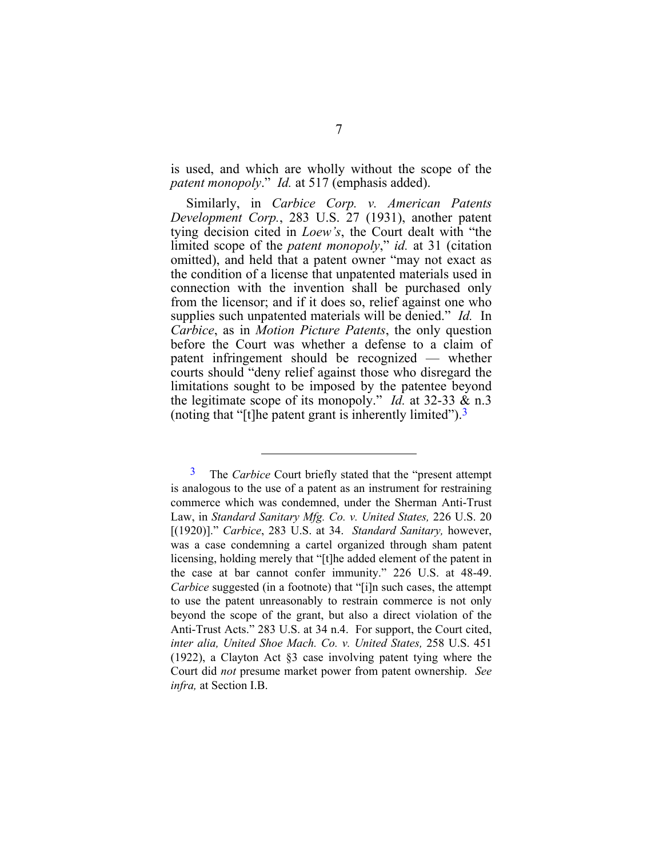is used, and which are wholly without the scope of the *patent monopoly*." *Id.* at 517 (emphasis added).

Similarly, in *Carbice Corp. v. American Patents Development Corp.*, 283 U.S. 27 (1931), another patent tying decision cited in *Loew's*, the Court dealt with "the limited scope of the *patent monopoly*," *id.* at 31 (citation omitted), and held that a patent owner "may not exact as the condition of a license that unpatented materials used in connection with the invention shall be purchased only from the licensor; and if it does so, relief against one who supplies such unpatented materials will be denied." *Id.* In *Carbice*, as in *Motion Picture Patents*, the only question before the Court was whether a defense to a claim of patent infringement should be recognized — whether courts should "deny relief against those who disregard the limitations sought to be imposed by the patentee beyond the legitimate scope of its monopoly." *Id.* at 32-33 & n.3 (noting that "[t]he patent grant is inherently limited").  $3$ 

<span id="page-15-0"></span><sup>3</sup> The *Carbice* Court briefly stated that the "present attempt is analogous to the use of a patent as an instrument for restraining commerce which was condemned, under the Sherman Anti-Trust Law, in *Standard Sanitary Mfg. Co. v. United States,* 226 U.S. 20 [(1920)]." *Carbice*, 283 U.S. at 34. *Standard Sanitary,* however, was a case condemning a cartel organized through sham patent licensing, holding merely that "[t]he added element of the patent in the case at bar cannot confer immunity." 226 U.S. at 48-49. *Carbice* suggested (in a footnote) that "[i]n such cases, the attempt to use the patent unreasonably to restrain commerce is not only beyond the scope of the grant, but also a direct violation of the Anti-Trust Acts." 283 U.S. at 34 n.4. For support, the Court cited, *inter alia, United Shoe Mach. Co. v. United States,* 258 U.S. 451 (1922), a Clayton Act §3 case involving patent tying where the Court did *not* presume market power from patent ownership. *See infra,* at Section I.B.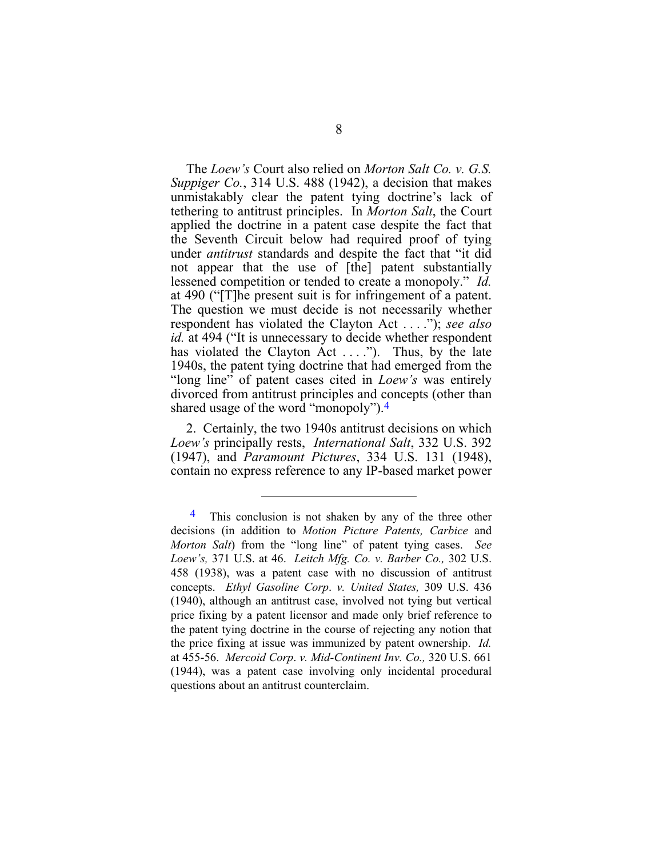The *Loew's* Court also relied on *Morton Salt Co. v. G.S. Suppiger Co.*, 314 U.S. 488 (1942), a decision that makes unmistakably clear the patent tying doctrine's lack of tethering to antitrust principles. In *Morton Salt*, the Court applied the doctrine in a patent case despite the fact that the Seventh Circuit below had required proof of tying under *antitrust* standards and despite the fact that "it did not appear that the use of [the] patent substantially lessened competition or tended to create a monopoly." *Id.* at 490 ("[T]he present suit is for infringement of a patent. The question we must decide is not necessarily whether respondent has violated the Clayton Act . . . ."); *see also id.* at 494 ("It is unnecessary to decide whether respondent has violated the Clayton Act  $\dots$ ."). Thus, by the late 1940s, the patent tying doctrine that had emerged from the "long line" of patent cases cited in *Loew's* was entirely divorced from antitrust principles and concepts (other than shared usage of the word "monopoly").<sup>4</sup>

2. Certainly, the two 1940s antitrust decisions on which *Loew's* principally rests, *International Salt*, 332 U.S. 392 (1947), and *Paramount Pictures*, 334 U.S. 131 (1948), contain no express reference to any IP-based market power

<span id="page-16-0"></span> $\frac{4}{1}$  This conclusion is not shaken by any of the three other decisions (in addition to *Motion Picture Patents, Carbice* and *Morton Salt*) from the "long line" of patent tying cases. *See Loew's,* 371 U.S. at 46. *Leitch Mfg. Co. v. Barber Co.,* 302 U.S. 458 (1938), was a patent case with no discussion of antitrust concepts. *Ethyl Gasoline Corp*. *v. United States,* 309 U.S. 436 (1940), although an antitrust case, involved not tying but vertical price fixing by a patent licensor and made only brief reference to the patent tying doctrine in the course of rejecting any notion that the price fixing at issue was immunized by patent ownership. *Id.* at 455-56. *Mercoid Corp*. *v. Mid-Continent Inv. Co.,* 320 U.S. 661 (1944), was a patent case involving only incidental procedural questions about an antitrust counterclaim.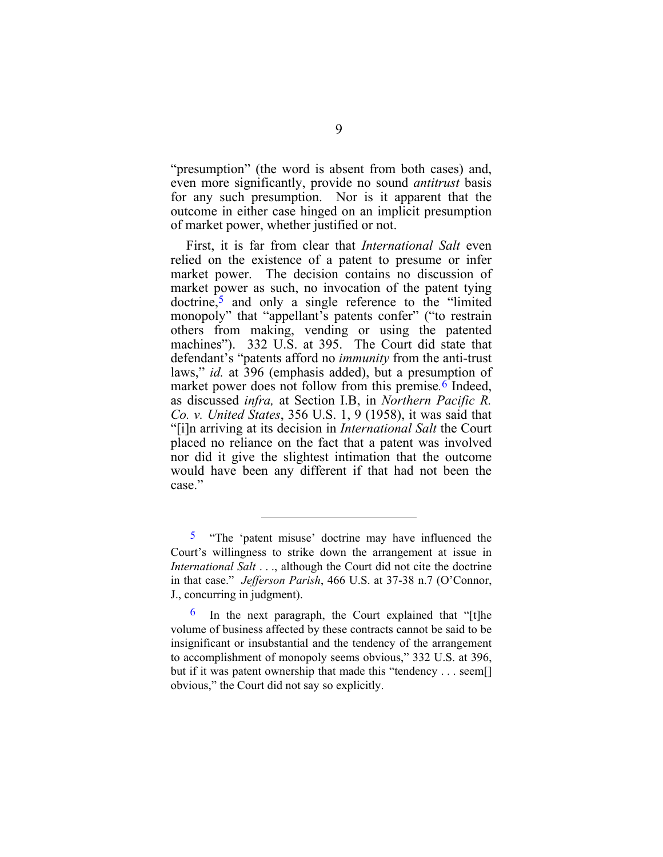"presumption" (the word is absent from both cases) and, even more significantly, provide no sound *antitrust* basis for any such presumption. Nor is it apparent that the outcome in either case hinged on an implicit presumption of market power, whether justified or not.

First, it is far from clear that *International Salt* even relied on the existence of a patent to presume or infer market power. The decision contains no discussion of market power as such, no invocation of the patent tying doctrine,[5](#page-17-0) and only a single reference to the "limited monopoly" that "appellant's patents confer" ("to restrain others from making, vending or using the patented machines"). 332 U.S. at 395. The Court did state that defendant's "patents afford no *immunity* from the anti-trust laws," *id.* at 396 (emphasis added), but a presumption of market power does not follow from this premise*.*[6](#page-17-1) Indeed, as discussed *infra,* at Section I.B, in *Northern Pacific R. Co. v. United States*, 356 U.S. 1, 9 (1958), it was said that "[i]n arriving at its decision in *International Salt* the Court placed no reliance on the fact that a patent was involved nor did it give the slightest intimation that the outcome would have been any different if that had not been the case."

<span id="page-17-0"></span><sup>&</sup>lt;sup>5</sup> "The 'patent misuse' doctrine may have influenced the Court's willingness to strike down the arrangement at issue in *International Salt* . . ., although the Court did not cite the doctrine in that case." *Jefferson Parish*, 466 U.S. at 37-38 n.7 (O'Connor, J., concurring in judgment).

<span id="page-17-1"></span> $\frac{6}{1}$  In the next paragraph, the Court explained that "[t]he volume of business affected by these contracts cannot be said to be insignificant or insubstantial and the tendency of the arrangement to accomplishment of monopoly seems obvious," 332 U.S. at 396, but if it was patent ownership that made this "tendency . . . seem. obvious," the Court did not say so explicitly.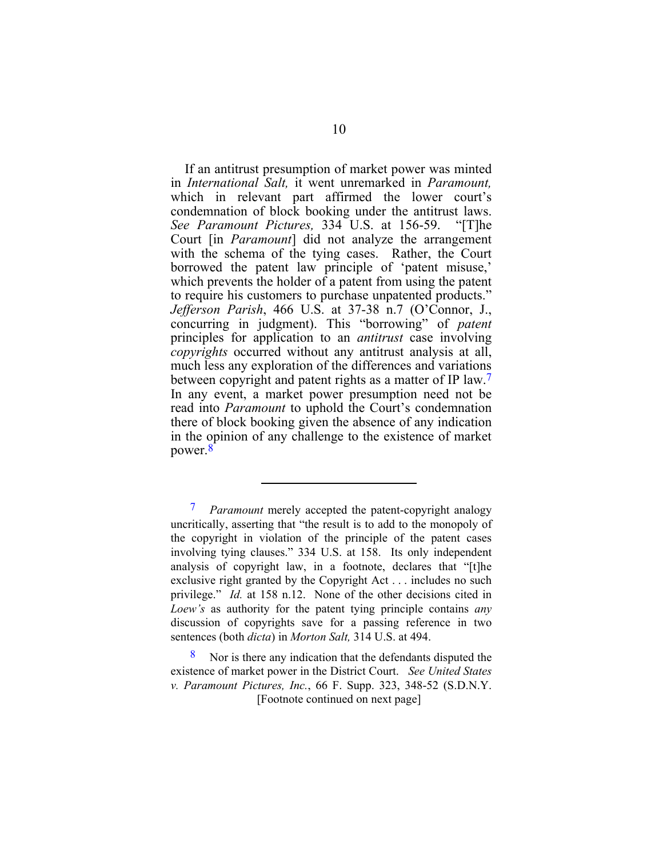<span id="page-18-1"></span>If an antitrust presumption of market power was minted in *International Salt,* it went unremarked in *Paramount,* which in relevant part affirmed the lower court's condemnation of block booking under the antitrust laws. *See Paramount Pictures,* 334 U.S. at 156-59. "[T]he Court [in *Paramount*] did not analyze the arrangement with the schema of the tying cases. Rather, the Court borrowed the patent law principle of 'patent misuse,' which prevents the holder of a patent from using the patent to require his customers to purchase unpatented products." *Jefferson Parish*, 466 U.S. at 37-38 n.7 (O'Connor, J., concurring in judgment). This "borrowing" of *patent* principles for application to an *antitrust* case involving *copyrights* occurred without any antitrust analysis at all, much less any exploration of the differences and variations between copyright and patent rights as a matter of IP law.<sup>7</sup> In any event, a market power presumption need not be read into *Paramount* to uphold the Court's condemnation there of block booking given the absence of any indication in the opinion of any challenge to the existence of market power[.8](#page-18-1)

<span id="page-18-0"></span>7 *Paramount* merely accepted the patent-copyright analogy uncritically, asserting that "the result is to add to the monopoly of the copyright in violation of the principle of the patent cases involving tying clauses." 334 U.S. at 158. Its only independent analysis of copyright law, in a footnote, declares that "[t]he exclusive right granted by the Copyright Act . . . includes no such privilege." *Id.* at 158 n.12. None of the other decisions cited in *Loew's* as authority for the patent tying principle contains *any* discussion of copyrights save for a passing reference in two sentences (both *dicta*) in *Morton Salt,* 314 U.S. at 494.

 $\overline{a}$ 

[Footnote continued on next page] Nor is there any indication that the defendants disputed the existence of market power in the District Court. *See United States v. Paramount Pictures, Inc.*, 66 F. Supp. 323, 348-52 (S.D.N.Y.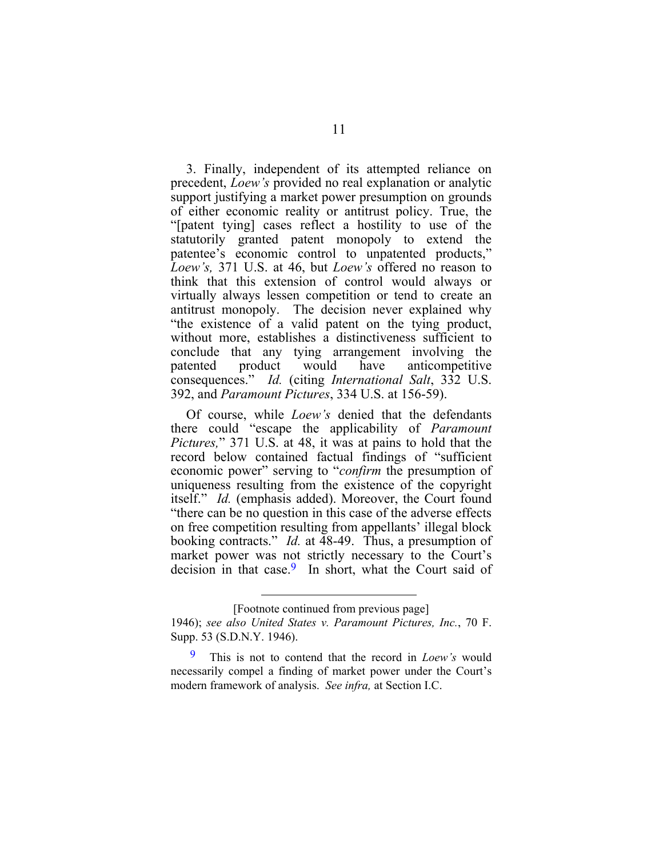3. Finally, independent of its attempted reliance on precedent, *Loew's* provided no real explanation or analytic support justifying a market power presumption on grounds of either economic reality or antitrust policy. True, the "[patent tying] cases reflect a hostility to use of the statutorily granted patent monopoly to extend the patentee's economic control to unpatented products," *Loew's,* 371 U.S. at 46, but *Loew's* offered no reason to think that this extension of control would always or virtually always lessen competition or tend to create an antitrust monopoly. The decision never explained why "the existence of a valid patent on the tying product, without more, establishes a distinctiveness sufficient to conclude that any tying arrangement involving the patented product would have anticompetitive consequences." *Id.* (citing *International Salt*, 332 U.S. 392, and *Paramount Pictures*, 334 U.S. at 156-59).

Of course, while *Loew's* denied that the defendants there could "escape the applicability of *Paramount Pictures,*" 371 U.S. at 48, it was at pains to hold that the record below contained factual findings of "sufficient economic power" serving to "*confirm* the presumption of uniqueness resulting from the existence of the copyright itself." *Id.* (emphasis added). Moreover, the Court found "there can be no question in this case of the adverse effects on free competition resulting from appellants' illegal block booking contracts." *Id.* at 48-49. Thus, a presumption of market power was not strictly necessary to the Court's decision in that case.<sup>9</sup> In short, what the Court said of

<sup>[</sup>Footnote continued from previous page]

<sup>1946);</sup> *see also United States v. Paramount Pictures, Inc.*, 70 F. Supp. 53 (S.D.N.Y. 1946).

<span id="page-19-0"></span><sup>9</sup> This is not to contend that the record in *Loew's* would necessarily compel a finding of market power under the Court's modern framework of analysis. *See infra,* at Section I.C.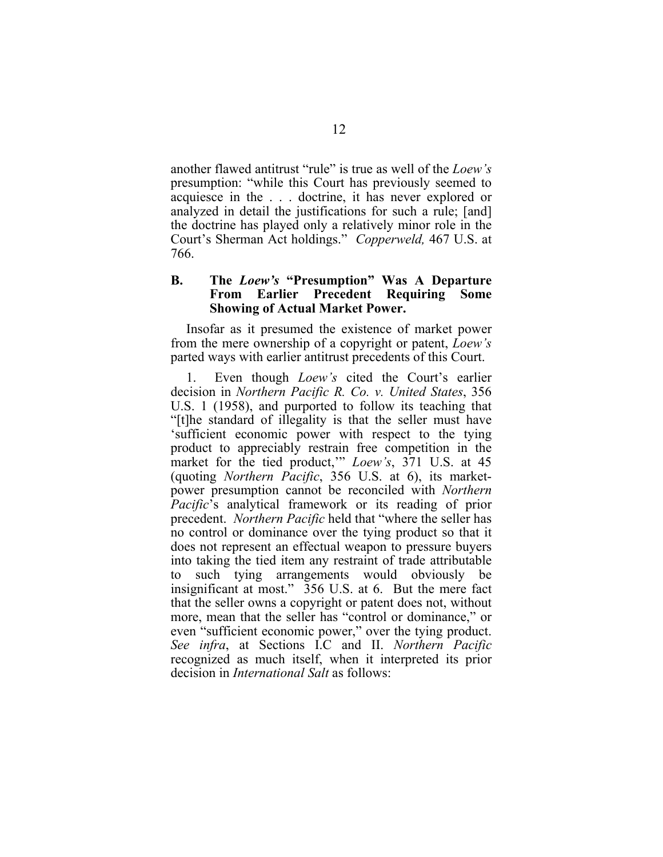<span id="page-20-0"></span>another flawed antitrust "rule" is true as well of the *Loew's*  presumption: "while this Court has previously seemed to acquiesce in the . . . doctrine, it has never explored or analyzed in detail the justifications for such a rule; [and] the doctrine has played only a relatively minor role in the Court's Sherman Act holdings." *Copperweld,* 467 U.S. at 766.

#### **B. The** *Loew's* **"Presumption" Was A Departure From Earlier Precedent Requiring Some Showing of Actual Market Power.**

Insofar as it presumed the existence of market power from the mere ownership of a copyright or patent, *Loew's* parted ways with earlier antitrust precedents of this Court.

1. Even though *Loew's* cited the Court's earlier decision in *Northern Pacific R. Co. v. United States*, 356 U.S. 1 (1958), and purported to follow its teaching that "[t]he standard of illegality is that the seller must have 'sufficient economic power with respect to the tying product to appreciably restrain free competition in the market for the tied product,'" *Loew's*, 371 U.S. at 45 (quoting *Northern Pacific*, 356 U.S. at 6), its marketpower presumption cannot be reconciled with *Northern Pacific*'s analytical framework or its reading of prior precedent. *Northern Pacific* held that "where the seller has no control or dominance over the tying product so that it does not represent an effectual weapon to pressure buyers into taking the tied item any restraint of trade attributable to such tying arrangements would obviously be insignificant at most." 356 U.S. at 6. But the mere fact that the seller owns a copyright or patent does not, without more, mean that the seller has "control or dominance," or even "sufficient economic power," over the tying product. *See infra*, at Sections I.C and II. *Northern Pacific* recognized as much itself, when it interpreted its prior decision in *International Salt* as follows: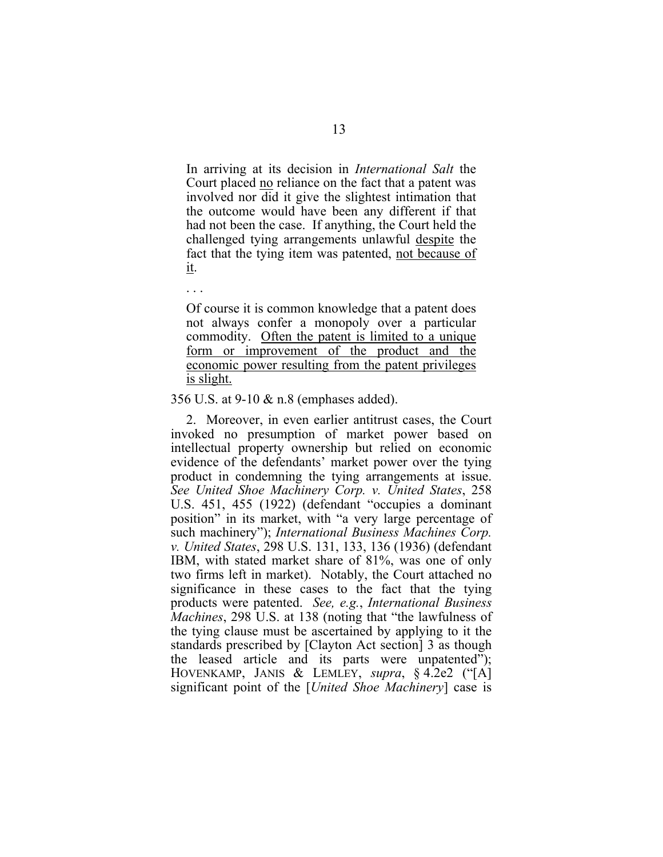In arriving at its decision in *International Salt* the Court placed no reliance on the fact that a patent was involved nor did it give the slightest intimation that the outcome would have been any different if that had not been the case. If anything, the Court held the challenged tying arrangements unlawful despite the fact that the tying item was patented, not because of it.

Of course it is common knowledge that a patent does not always confer a monopoly over a particular commodity. Often the patent is limited to a unique form or improvement of the product and the economic power resulting from the patent privileges is slight.

356 U.S. at 9-10 & n.8 (emphases added).

2. Moreover, in even earlier antitrust cases, the Court invoked no presumption of market power based on intellectual property ownership but relied on economic evidence of the defendants' market power over the tying product in condemning the tying arrangements at issue. *See United Shoe Machinery Corp. v. United States*, 258 U.S. 451, 455 (1922) (defendant "occupies a dominant position" in its market, with "a very large percentage of such machinery"); *International Business Machines Corp. v. United States*, 298 U.S. 131, 133, 136 (1936) (defendant IBM, with stated market share of 81%, was one of only two firms left in market). Notably, the Court attached no significance in these cases to the fact that the tying products were patented. *See, e.g.*, *International Business Machines*, 298 U.S. at 138 (noting that "the lawfulness of the tying clause must be ascertained by applying to it the standards prescribed by [Clayton Act section] 3 as though the leased article and its parts were unpatented"); HOVENKAMP, JANIS & LEMLEY, *supra*, § 4.2e2 ("[A] significant point of the [*United Shoe Machinery*] case is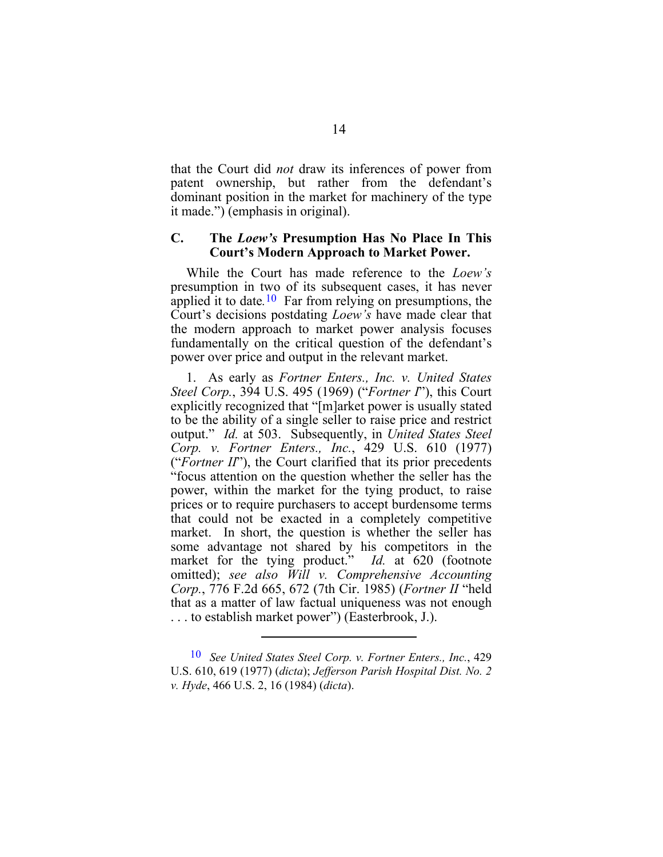<span id="page-22-0"></span>that the Court did *not* draw its inferences of power from patent ownership, but rather from the defendant's dominant position in the market for machinery of the type it made.") (emphasis in original).

### **C. The** *Loew's* **Presumption Has No Place In This Court's Modern Approach to Market Power.**

While the Court has made reference to the *Loew's* presumption in two of its subsequent cases, it has never applied it to date*.*[10](#page-22-1) Far from relying on presumptions, the Court's decisions postdating *Loew's* have made clear that the modern approach to market power analysis focuses fundamentally on the critical question of the defendant's power over price and output in the relevant market.

1. As early as *Fortner Enters., Inc. v. United States Steel Corp.*, 394 U.S. 495 (1969) ("*Fortner I*"), this Court explicitly recognized that "[m]arket power is usually stated to be the ability of a single seller to raise price and restrict output." *Id.* at 503. Subsequently, in *United States Steel Corp. v. Fortner Enters., Inc.*, 429 U.S. 610 (1977) ("*Fortner II*"), the Court clarified that its prior precedents "focus attention on the question whether the seller has the power, within the market for the tying product, to raise prices or to require purchasers to accept burdensome terms that could not be exacted in a completely competitive market. In short, the question is whether the seller has some advantage not shared by his competitors in the market for the tying product." *Id.* at 620 (footnote omitted); *see also Will v. Comprehensive Accounting Corp.*, 776 F.2d 665, 672 (7th Cir. 1985) (*Fortner II* "held that as a matter of law factual uniqueness was not enough . . . to establish market power") (Easterbrook, J.).

<span id="page-22-1"></span><sup>10</sup> *See United States Steel Corp. v. Fortner Enters., Inc.*, 429 U.S. 610, 619 (1977) (*dicta*); *Jefferson Parish Hospital Dist. No. 2 v. Hyde*, 466 U.S. 2, 16 (1984) (*dicta*).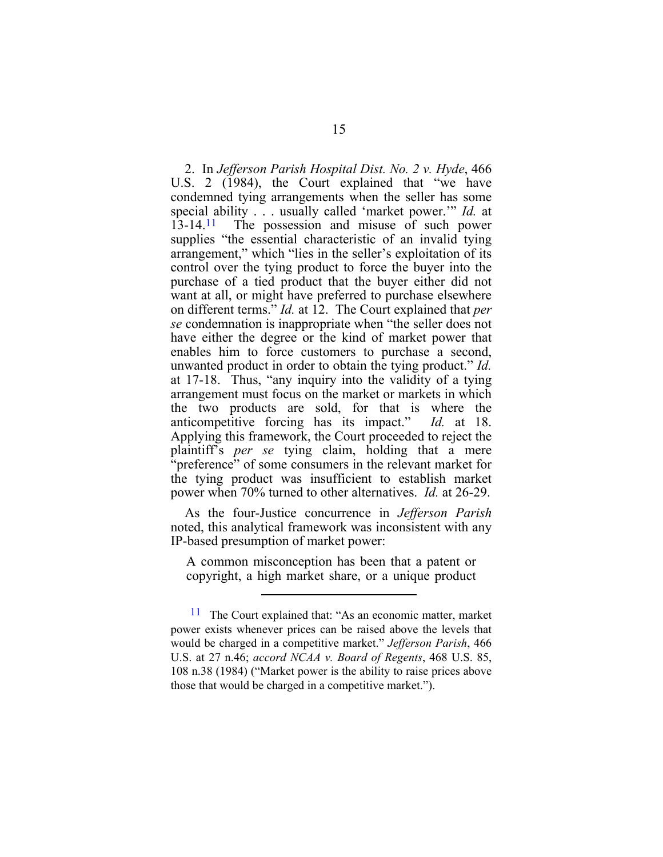2. In *Jefferson Parish Hospital Dist. No. 2 v. Hyde*, 466 U.S. 2 (1984), the Court explained that "we have condemned tying arrangements when the seller has some special ability . . . usually called 'market power.'" *Id.* at 13-14.<sup>11</sup> The possession and misuse of such power supplies "the essential characteristic of an invalid tying arrangement," which "lies in the seller's exploitation of its control over the tying product to force the buyer into the purchase of a tied product that the buyer either did not want at all, or might have preferred to purchase elsewhere on different terms." *Id.* at 12. The Court explained that *per se* condemnation is inappropriate when "the seller does not have either the degree or the kind of market power that enables him to force customers to purchase a second, unwanted product in order to obtain the tying product." *Id.*  at 17-18. Thus, "any inquiry into the validity of a tying arrangement must focus on the market or markets in which the two products are sold, for that is where the anticompetitive forcing has its impact." *Id.* at 18. Applying this framework, the Court proceeded to reject the plaintiff's *per se* tying claim, holding that a mere "preference" of some consumers in the relevant market for the tying product was insufficient to establish market power when 70% turned to other alternatives. *Id.* at 26-29.

As the four-Justice concurrence in *Jefferson Parish*  noted, this analytical framework was inconsistent with any IP-based presumption of market power:

A common misconception has been that a patent or copyright, a high market share, or a unique product

<span id="page-23-0"></span><sup>&</sup>lt;sup>11</sup> The Court explained that: "As an economic matter, market power exists whenever prices can be raised above the levels that would be charged in a competitive market." *Jefferson Parish*, 466 U.S. at 27 n.46; *accord NCAA v. Board of Regents*, 468 U.S. 85, 108 n.38 (1984) ("Market power is the ability to raise prices above those that would be charged in a competitive market.").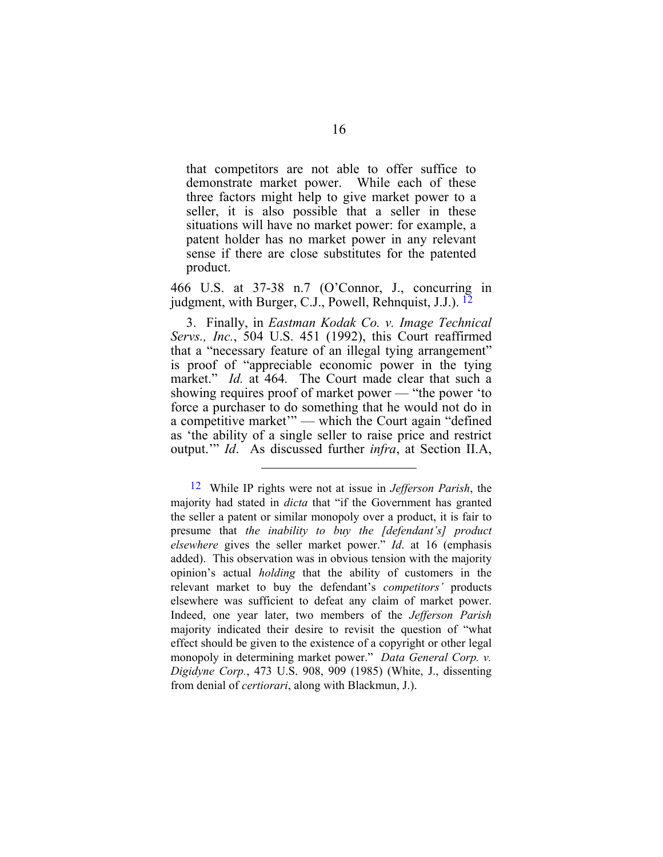that competitors are not able to offer suffice to demonstrate market power. While each of these three factors might help to give market power to a seller, it is also possible that a seller in these situations will have no market power: for example, a patent holder has no market power in any relevant sense if there are close substitutes for the patented product.

466 U.S. at 37-38 n.7 (O'Connor, J., concurring in judgment, with Burger, C.J., Powell, Rehnquist, J.J.). [12](#page-24-0)

3. Finally, in *Eastman Kodak Co. v. Image Technical Servs., Inc.*, 504 U.S. 451 (1992), this Court reaffirmed that a "necessary feature of an illegal tying arrangement" is proof of "appreciable economic power in the tying market." *Id.* at 464. The Court made clear that such a showing requires proof of market power — "the power 'to force a purchaser to do something that he would not do in a competitive market'" — which the Court again "defined as 'the ability of a single seller to raise price and restrict output.'" *Id*. As discussed further *infra*, at Section II.A,

<span id="page-24-0"></span><sup>12</sup> While IP rights were not at issue in *Jefferson Parish*, the majority had stated in *dicta* that "if the Government has granted the seller a patent or similar monopoly over a product, it is fair to presume that *the inability to buy the [defendant's] product elsewhere* gives the seller market power." *Id*. at 16 (emphasis added).This observation was in obvious tension with the majority opinion's actual *holding* that the ability of customers in the relevant market to buy the defendant's *competitors'* products elsewhere was sufficient to defeat any claim of market power. Indeed, one year later, two members of the *Jefferson Parish* majority indicated their desire to revisit the question of "what effect should be given to the existence of a copyright or other legal monopoly in determining market power." *Data General Corp. v. Digidyne Corp.*, 473 U.S. 908, 909 (1985) (White, J., dissenting from denial of *certiorari*, along with Blackmun, J.).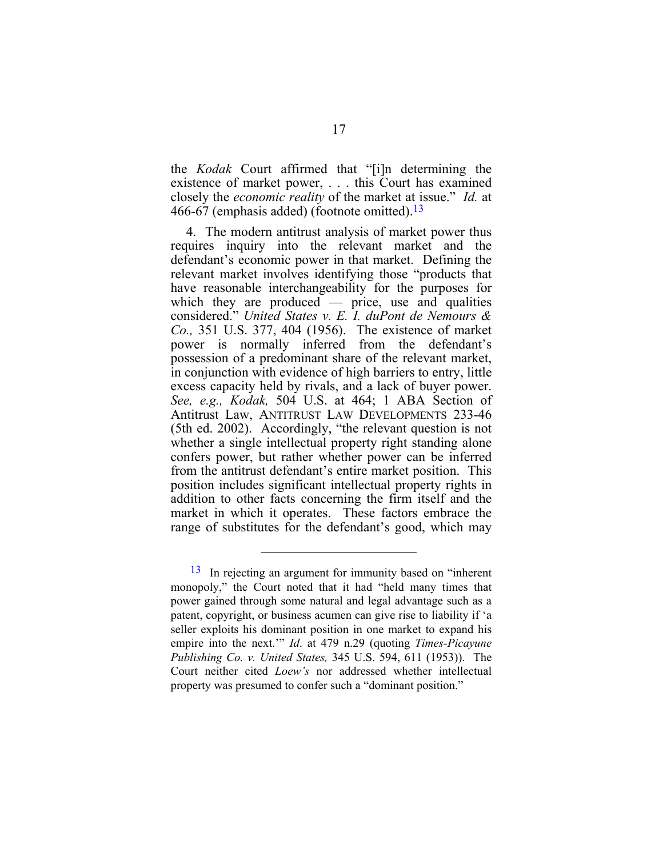the *Kodak* Court affirmed that "[i]n determining the existence of market power, . . . this Court has examined closely the *economic reality* of the market at issue." *Id.* at 466-67 (emphasis added) (footnote omitted).<sup>13</sup>

4. The modern antitrust analysis of market power thus requires inquiry into the relevant market and the defendant's economic power in that market. Defining the relevant market involves identifying those "products that have reasonable interchangeability for the purposes for which they are produced — price, use and qualities considered." *United States v. E. I. duPont de Nemours & Co.,* 351 U.S. 377, 404 (1956). The existence of market power is normally inferred from the defendant's possession of a predominant share of the relevant market, in conjunction with evidence of high barriers to entry, little excess capacity held by rivals, and a lack of buyer power. *See, e.g., Kodak,* 504 U.S. at 464; 1 ABA Section of Antitrust Law, ANTITRUST LAW DEVELOPMENTS 233-46 (5th ed. 2002). Accordingly, "the relevant question is not whether a single intellectual property right standing alone confers power, but rather whether power can be inferred from the antitrust defendant's entire market position. This position includes significant intellectual property rights in addition to other facts concerning the firm itself and the market in which it operates. These factors embrace the range of substitutes for the defendant's good, which may

<span id="page-25-0"></span><sup>13</sup> In rejecting an argument for immunity based on "inherent monopoly," the Court noted that it had "held many times that power gained through some natural and legal advantage such as a patent, copyright, or business acumen can give rise to liability if 'a seller exploits his dominant position in one market to expand his empire into the next.'" *Id*. at 479 n.29 (quoting *Times-Picayune Publishing Co. v. United States,* 345 U.S. 594, 611 (1953)). The Court neither cited *Loew's* nor addressed whether intellectual property was presumed to confer such a "dominant position."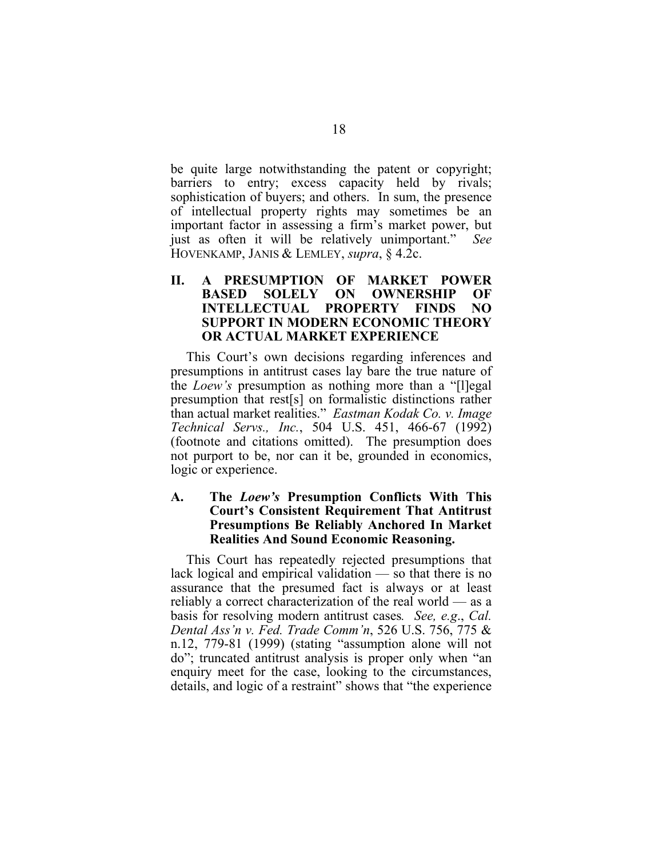<span id="page-26-0"></span>be quite large notwithstanding the patent or copyright; barriers to entry; excess capacity held by rivals; sophistication of buyers; and others. In sum, the presence of intellectual property rights may sometimes be an important factor in assessing a firm's market power, but just as often it will be relatively unimportant." *See* HOVENKAMP, JANIS & LEMLEY, *supra*, § 4.2c.

#### **II. A PRESUMPTION OF MARKET POWER BASED SOLELY ON OWNERSHIP OF INTELLECTUAL PROPERTY FINDS NO SUPPORT IN MODERN ECONOMIC THEORY OR ACTUAL MARKET EXPERIENCE**

This Court's own decisions regarding inferences and presumptions in antitrust cases lay bare the true nature of the *Loew's* presumption as nothing more than a "[l]egal presumption that rest[s] on formalistic distinctions rather than actual market realities." *Eastman Kodak Co. v. Image Technical Servs., Inc.*, 504 U.S. 451, 466-67 (1992) (footnote and citations omitted). The presumption does not purport to be, nor can it be, grounded in economics, logic or experience.

#### **A. The** *Loew's* **Presumption Conflicts With This Court's Consistent Requirement That Antitrust Presumptions Be Reliably Anchored In Market Realities And Sound Economic Reasoning.**

This Court has repeatedly rejected presumptions that lack logical and empirical validation — so that there is no assurance that the presumed fact is always or at least reliably a correct characterization of the real world — as a basis for resolving modern antitrust cases*. See, e.g*., *Cal. Dental Ass'n v. Fed. Trade Comm'n*, 526 U.S. 756, 775 & n.12, 779-81 (1999) (stating "assumption alone will not do"; truncated antitrust analysis is proper only when "an enquiry meet for the case, looking to the circumstances, details, and logic of a restraint" shows that "the experience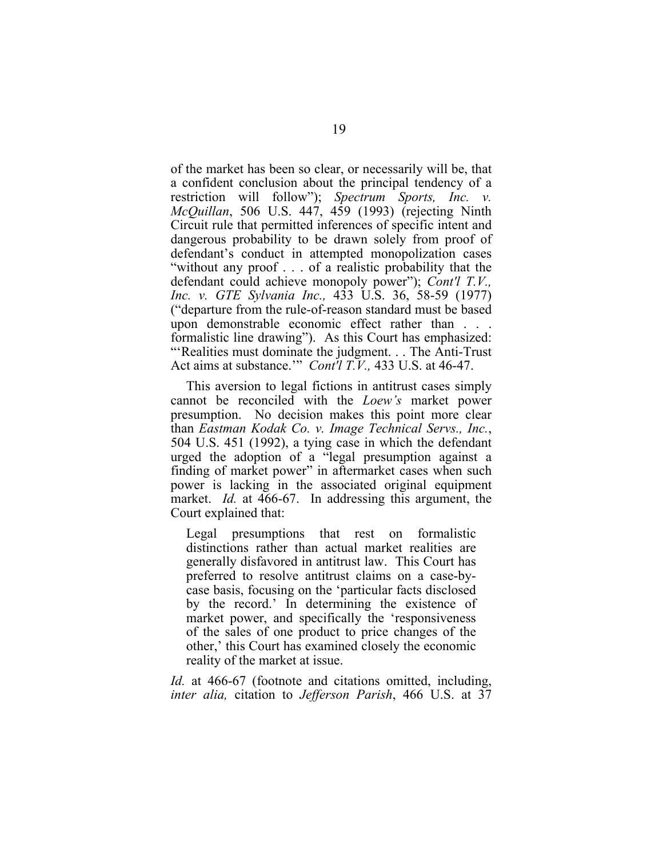of the market has been so clear, or necessarily will be, that a confident conclusion about the principal tendency of a restriction will follow"); *Spectrum Sports, Inc. v. McQuillan*, 506 U.S. 447, 459 (1993) (rejecting Ninth Circuit rule that permitted inferences of specific intent and dangerous probability to be drawn solely from proof of defendant's conduct in attempted monopolization cases "without any proof . . . of a realistic probability that the defendant could achieve monopoly power"); *Cont'l T.V., Inc. v. GTE Sylvania Inc.,* 433 U.S. 36, 58-59 (1977) ("departure from the rule-of-reason standard must be based upon demonstrable economic effect rather than . . . formalistic line drawing"). As this Court has emphasized: "'Realities must dominate the judgment. . . The Anti-Trust Act aims at substance.'" *Cont'l T.V.,* 433 U.S. at 46-47.

This aversion to legal fictions in antitrust cases simply cannot be reconciled with the *Loew's* market power presumption. No decision makes this point more clear than *Eastman Kodak Co. v. Image Technical Servs., Inc.*, 504 U.S. 451 (1992), a tying case in which the defendant urged the adoption of a "legal presumption against a finding of market power" in aftermarket cases when such power is lacking in the associated original equipment market. *Id.* at 466-67. In addressing this argument, the Court explained that:

Legal presumptions that rest on formalistic distinctions rather than actual market realities are generally disfavored in antitrust law. This Court has preferred to resolve antitrust claims on a case-bycase basis, focusing on the 'particular facts disclosed by the record.' In determining the existence of market power, and specifically the 'responsiveness of the sales of one product to price changes of the other,' this Court has examined closely the economic reality of the market at issue.

*Id.* at 466-67 (footnote and citations omitted, including, *inter alia,* citation to *Jefferson Parish*, 466 U.S. at 37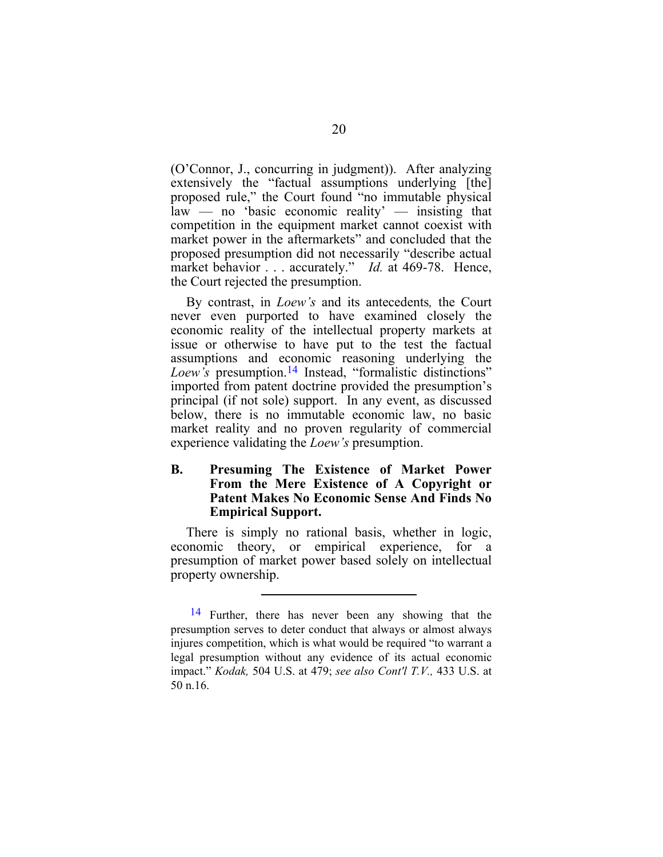<span id="page-28-0"></span>(O'Connor, J., concurring in judgment)). After analyzing extensively the "factual assumptions underlying [the] proposed rule," the Court found "no immutable physical  $law - no$  'basic economic reality'  $-$  insisting that competition in the equipment market cannot coexist with market power in the aftermarkets" and concluded that the proposed presumption did not necessarily "describe actual market behavior . . . accurately." *Id.* at 469-78. Hence, the Court rejected the presumption.

By contrast, in *Loew's* and its antecedents*,* the Court never even purported to have examined closely the economic reality of the intellectual property markets at issue or otherwise to have put to the test the factual assumptions and economic reasoning underlying the Loew's presumption.<sup>14</sup> Instead, "formalistic distinctions" imported from patent doctrine provided the presumption's principal (if not sole) support. In any event, as discussed below, there is no immutable economic law, no basic market reality and no proven regularity of commercial experience validating the *Loew's* presumption.

#### **B. Presuming The Existence of Market Power From the Mere Existence of A Copyright or Patent Makes No Economic Sense And Finds No Empirical Support.**

There is simply no rational basis, whether in logic, economic theory, or empirical experience, for a presumption of market power based solely on intellectual property ownership.

<span id="page-28-1"></span><sup>&</sup>lt;sup>14</sup> Further, there has never been any showing that the presumption serves to deter conduct that always or almost always injures competition, which is what would be required "to warrant a legal presumption without any evidence of its actual economic impact." *Kodak,* 504 U.S. at 479; *see also Cont'l T.V.,* 433 U.S. at 50 n.16.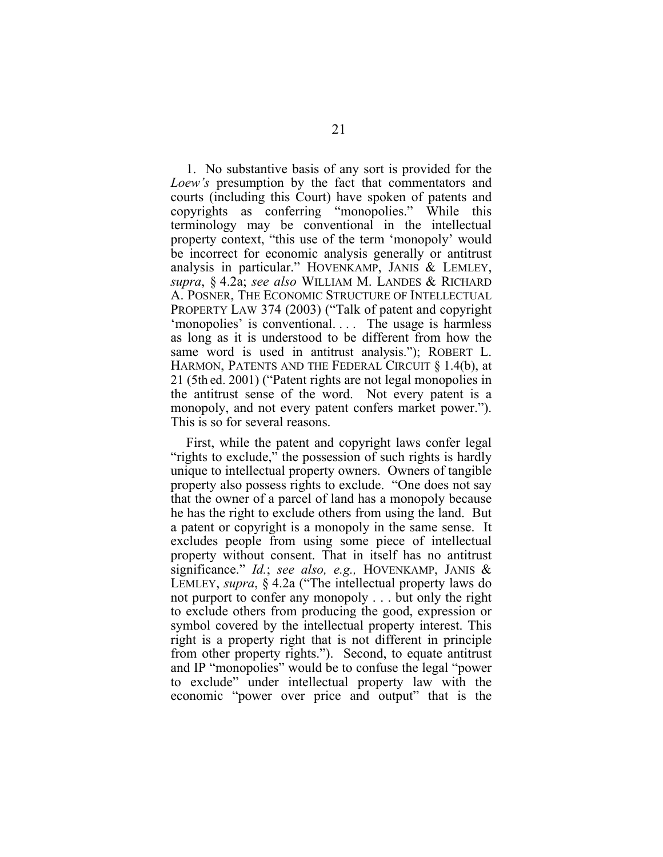1. No substantive basis of any sort is provided for the *Loew's* presumption by the fact that commentators and courts (including this Court) have spoken of patents and copyrights as conferring "monopolies." While this terminology may be conventional in the intellectual property context, "this use of the term 'monopoly' would be incorrect for economic analysis generally or antitrust analysis in particular." HOVENKAMP, JANIS & LEMLEY, *supra*, § 4.2a; *see also* WILLIAM M. LANDES & RICHARD A. POSNER, THE ECONOMIC STRUCTURE OF INTELLECTUAL PROPERTY LAW 374 (2003) ("Talk of patent and copyright 'monopolies' is conventional. . . . The usage is harmless as long as it is understood to be different from how the same word is used in antitrust analysis."); ROBERT L. HARMON, PATENTS AND THE FEDERAL CIRCUIT § 1.4(b), at 21 (5th ed. 2001) ("Patent rights are not legal monopolies in the antitrust sense of the word. Not every patent is a monopoly, and not every patent confers market power."). This is so for several reasons.

First, while the patent and copyright laws confer legal "rights to exclude," the possession of such rights is hardly unique to intellectual property owners. Owners of tangible property also possess rights to exclude. "One does not say that the owner of a parcel of land has a monopoly because he has the right to exclude others from using the land. But a patent or copyright is a monopoly in the same sense. It excludes people from using some piece of intellectual property without consent. That in itself has no antitrust significance." *Id.*; *see also, e.g.,* HOVENKAMP, JANIS & LEMLEY, *supra*, § 4.2a ("The intellectual property laws do not purport to confer any monopoly . . . but only the right to exclude others from producing the good, expression or symbol covered by the intellectual property interest. This right is a property right that is not different in principle from other property rights."). Second, to equate antitrust and IP "monopolies" would be to confuse the legal "power to exclude" under intellectual property law with the economic "power over price and output" that is the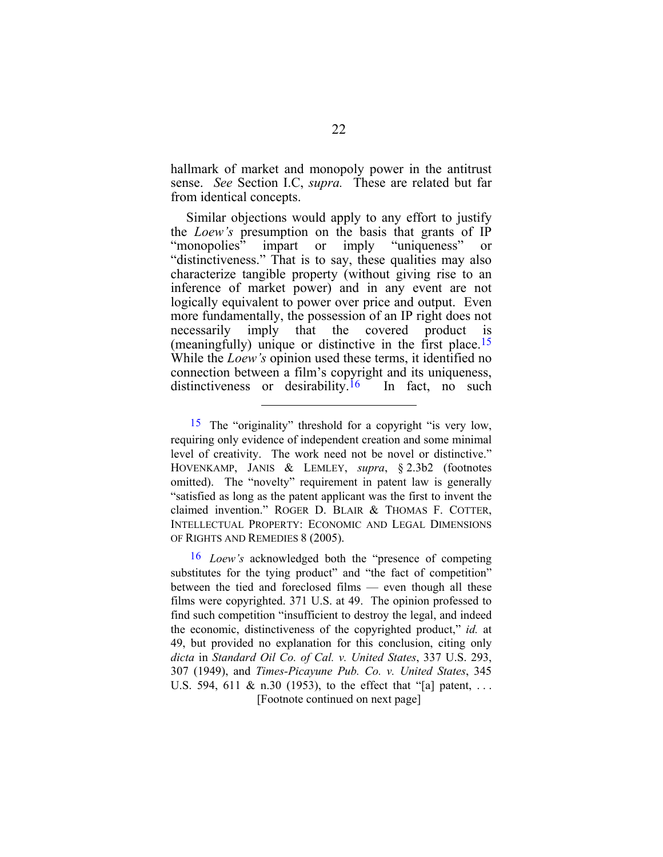<span id="page-30-1"></span>hallmark of market and monopoly power in the antitrust sense. *See* Section I.C, *supra.* These are related but far from identical concepts.

Similar objections would apply to any effort to justify the *Loew's* presumption on the basis that grants of IP<br>"monopolies" impart or imply "uniqueness" or "monopolies" impart or imply "uniqueness" "distinctiveness." That is to say, these qualities may also characterize tangible property (without giving rise to an inference of market power) and in any event are not logically equivalent to power over price and output. Even more fundamentally, the possession of an IP right does not necessarily imply that the covered product is (meaningfully) unique or distinctive in the first place.[15](#page-30-0)  While the *Loew's* opinion used these terms, it identified no connection between a film's copyright and its uniqueness, distinctiveness or desirability.<sup>16</sup> In fact, no such

 $\overline{a}$ 

[Footnote continued on next page] 16 *Loew's* acknowledged both the "presence of competing substitutes for the tying product" and "the fact of competition" between the tied and foreclosed films — even though all these films were copyrighted. 371 U.S. at 49. The opinion professed to find such competition "insufficient to destroy the legal, and indeed the economic, distinctiveness of the copyrighted product," *id.* at 49, but provided no explanation for this conclusion, citing only *dicta* in *Standard Oil Co. of Cal. v. United States*, 337 U.S. 293, 307 (1949), and *Times-Picayune Pub. Co. v. United States*, 345 U.S. 594, 611 & n.30 (1953), to the effect that "[a] patent, ...

<span id="page-30-0"></span><sup>15</sup> The "originality" threshold for a copyright "is very low, requiring only evidence of independent creation and some minimal level of creativity. The work need not be novel or distinctive." HOVENKAMP, JANIS & LEMLEY, *supra*, § 2.3b2 (footnotes omitted). The "novelty" requirement in patent law is generally "satisfied as long as the patent applicant was the first to invent the claimed invention." ROGER D. BLAIR & THOMAS F. COTTER, INTELLECTUAL PROPERTY: ECONOMIC AND LEGAL DIMENSIONS OF RIGHTS AND REMEDIES 8 (2005).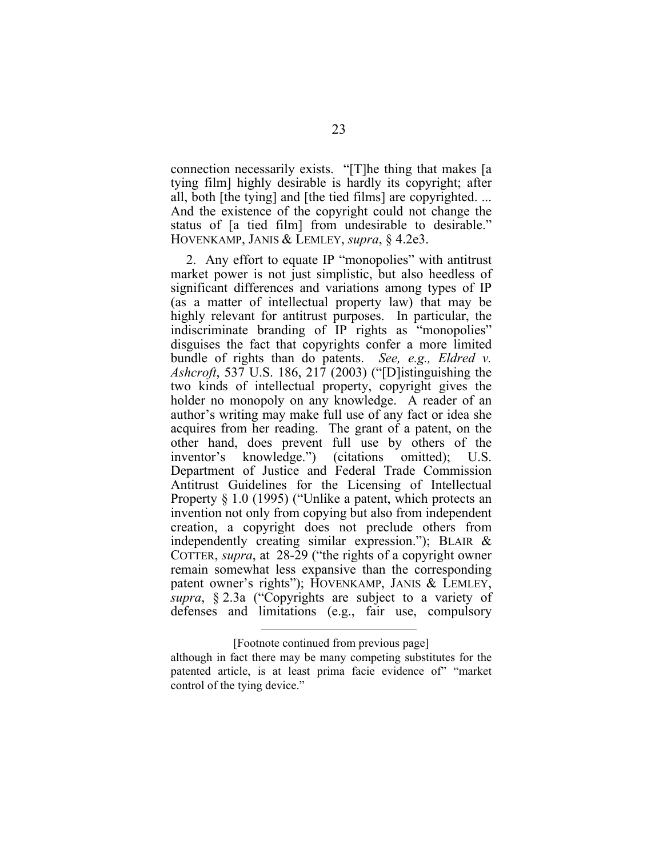connection necessarily exists. "[T]he thing that makes [a tying film] highly desirable is hardly its copyright; after all, both [the tying] and [the tied films] are copyrighted. ... And the existence of the copyright could not change the status of [a tied film] from undesirable to desirable." HOVENKAMP, JANIS & LEMLEY, *supra*, § 4.2e3.

2. Any effort to equate IP "monopolies" with antitrust market power is not just simplistic, but also heedless of significant differences and variations among types of IP (as a matter of intellectual property law) that may be highly relevant for antitrust purposes. In particular, the indiscriminate branding of IP rights as "monopolies" disguises the fact that copyrights confer a more limited bundle of rights than do patents. *See, e.g., Eldred v. Ashcroft*, 537 U.S. 186, 217 (2003) ("[D]istinguishing the two kinds of intellectual property, copyright gives the holder no monopoly on any knowledge. A reader of an author's writing may make full use of any fact or idea she acquires from her reading. The grant of a patent, on the other hand, does prevent full use by others of the inventor's knowledge.") (citations omitted); U.S. Department of Justice and Federal Trade Commission Antitrust Guidelines for the Licensing of Intellectual Property § 1.0 (1995) ("Unlike a patent, which protects an invention not only from copying but also from independent creation, a copyright does not preclude others from independently creating similar expression."); BLAIR & COTTER, *supra*, at 28-29 ("the rights of a copyright owner remain somewhat less expansive than the corresponding patent owner's rights"); HOVENKAMP, JANIS & LEMLEY, *supra*, § 2.3a ("Copyrights are subject to a variety of defenses and limitations (e.g., fair use, compulsory

<sup>[</sup>Footnote continued from previous page]

although in fact there may be many competing substitutes for the patented article, is at least prima facie evidence of" "market control of the tying device."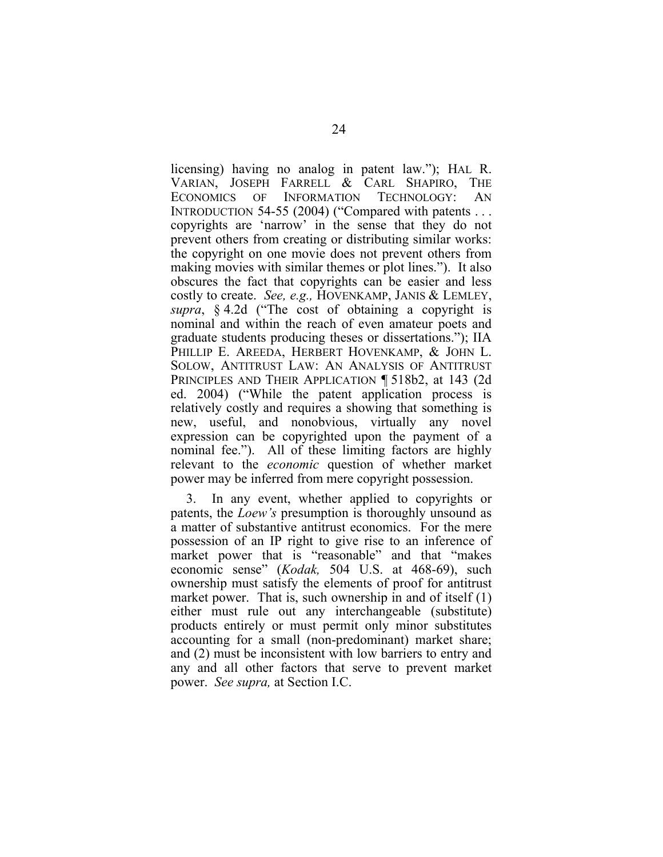licensing) having no analog in patent law."); HAL R. VARIAN, JOSEPH FARRELL & CARL SHAPIRO, THE ECONOMICS OF INFORMATION TECHNOLOGY: AN INTRODUCTION 54-55 (2004) ("Compared with patents . . . copyrights are 'narrow' in the sense that they do not prevent others from creating or distributing similar works: the copyright on one movie does not prevent others from making movies with similar themes or plot lines."). It also obscures the fact that copyrights can be easier and less costly to create. *See, e.g.,* HOVENKAMP, JANIS & LEMLEY, *supra*, § 4.2d ("The cost of obtaining a copyright is nominal and within the reach of even amateur poets and graduate students producing theses or dissertations."); IIA PHILLIP E. AREEDA, HERBERT HOVENKAMP, & JOHN L. SOLOW, ANTITRUST LAW: AN ANALYSIS OF ANTITRUST PRINCIPLES AND THEIR APPLICATION ¶ 518b2, at 143 (2d ed. 2004) ("While the patent application process is relatively costly and requires a showing that something is new, useful, and nonobvious, virtually any novel expression can be copyrighted upon the payment of a nominal fee."). All of these limiting factors are highly relevant to the *economic* question of whether market power may be inferred from mere copyright possession.

3. In any event, whether applied to copyrights or patents, the *Loew's* presumption is thoroughly unsound as a matter of substantive antitrust economics. For the mere possession of an IP right to give rise to an inference of market power that is "reasonable" and that "makes economic sense" (*Kodak,* 504 U.S. at 468-69), such ownership must satisfy the elements of proof for antitrust market power. That is, such ownership in and of itself (1) either must rule out any interchangeable (substitute) products entirely or must permit only minor substitutes accounting for a small (non-predominant) market share; and (2) must be inconsistent with low barriers to entry and any and all other factors that serve to prevent market power. *See supra,* at Section I.C.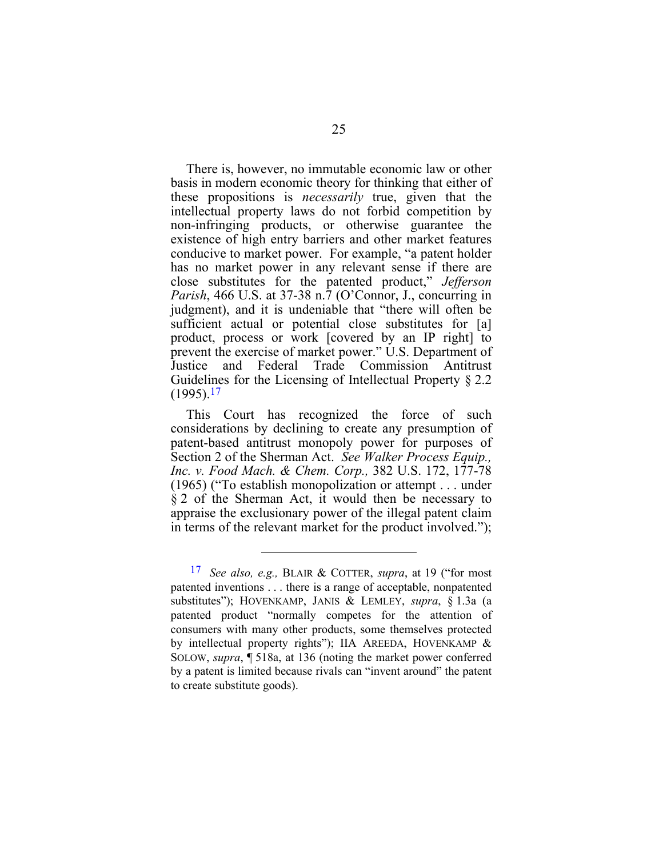There is, however, no immutable economic law or other basis in modern economic theory for thinking that either of these propositions is *necessarily* true, given that the intellectual property laws do not forbid competition by non-infringing products, or otherwise guarantee the existence of high entry barriers and other market features conducive to market power. For example, "a patent holder has no market power in any relevant sense if there are close substitutes for the patented product," *Jefferson Parish*, 466 U.S. at 37-38 n.7 (O'Connor, J., concurring in judgment), and it is undeniable that "there will often be sufficient actual or potential close substitutes for [a] product, process or work [covered by an IP right] to prevent the exercise of market power." U.S. Department of Justice and Federal Trade Commission Antitrust Guidelines for the Licensing of Intellectual Property § 2.2  $(1995)$ <sup>17</sup>

This Court has recognized the force of such considerations by declining to create any presumption of patent-based antitrust monopoly power for purposes of Section 2 of the Sherman Act. *See Walker Process Equip., Inc. v. Food Mach. & Chem. Corp.,* 382 U.S. 172, 177-78 (1965) ("To establish monopolization or attempt . . . under § 2 of the Sherman Act, it would then be necessary to appraise the exclusionary power of the illegal patent claim in terms of the relevant market for the product involved.");

<span id="page-33-0"></span><sup>17</sup> *See also, e.g.,* BLAIR & COTTER, *supra*, at 19 ("for most patented inventions . . . there is a range of acceptable, nonpatented substitutes"); HOVENKAMP, JANIS & LEMLEY, *supra*, § 1.3a (a patented product "normally competes for the attention of consumers with many other products, some themselves protected by intellectual property rights"); IIA AREEDA, HOVENKAMP & SOLOW, *supra*, ¶ 518a, at 136 (noting the market power conferred by a patent is limited because rivals can "invent around" the patent to create substitute goods).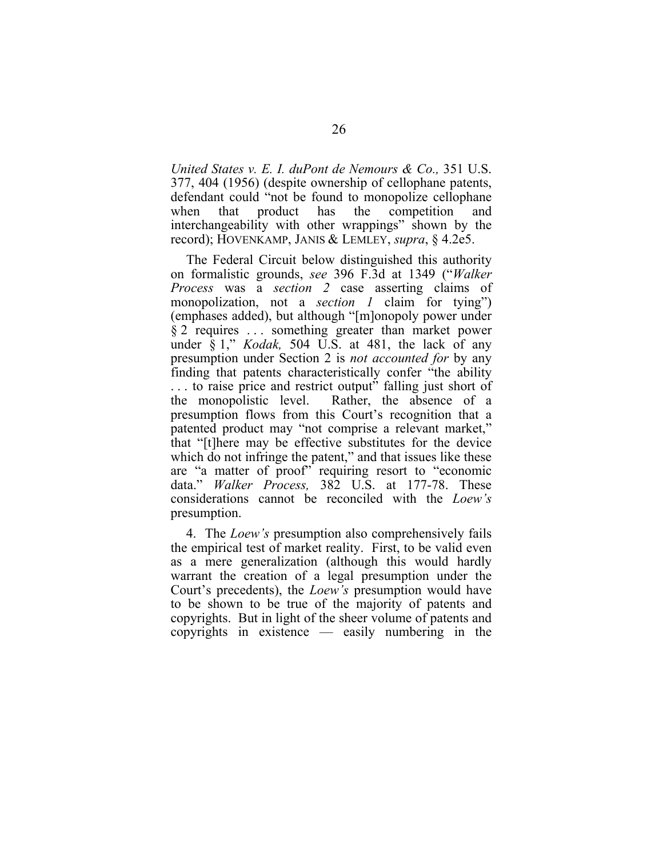*United States v. E. I. duPont de Nemours & Co.,* 351 U.S. 377, 404 (1956) (despite ownership of cellophane patents, defendant could "not be found to monopolize cellophane when that product has the competition and interchangeability with other wrappings" shown by the record); HOVENKAMP, JANIS & LEMLEY, *supra*, § 4.2e5.

The Federal Circuit below distinguished this authority on formalistic grounds, *see* 396 F.3d at 1349 ("*Walker Process* was a *section 2* case asserting claims of monopolization, not a *section 1* claim for tying") (emphases added), but although "[m]onopoly power under § 2 requires . . . something greater than market power under § 1," *Kodak,* 504 U.S. at 481, the lack of any presumption under Section 2 is *not accounted for* by any finding that patents characteristically confer "the ability . . . to raise price and restrict output" falling just short of the monopolistic level. Rather, the absence of a presumption flows from this Court's recognition that a patented product may "not comprise a relevant market," that "[t]here may be effective substitutes for the device which do not infringe the patent," and that issues like these are "a matter of proof" requiring resort to "economic data." *Walker Process,* 382 U.S. at 177-78. These considerations cannot be reconciled with the *Loew's*  presumption.

4. The *Loew's* presumption also comprehensively fails the empirical test of market reality. First, to be valid even as a mere generalization (although this would hardly warrant the creation of a legal presumption under the Court's precedents), the *Loew's* presumption would have to be shown to be true of the majority of patents and copyrights. But in light of the sheer volume of patents and copyrights in existence — easily numbering in the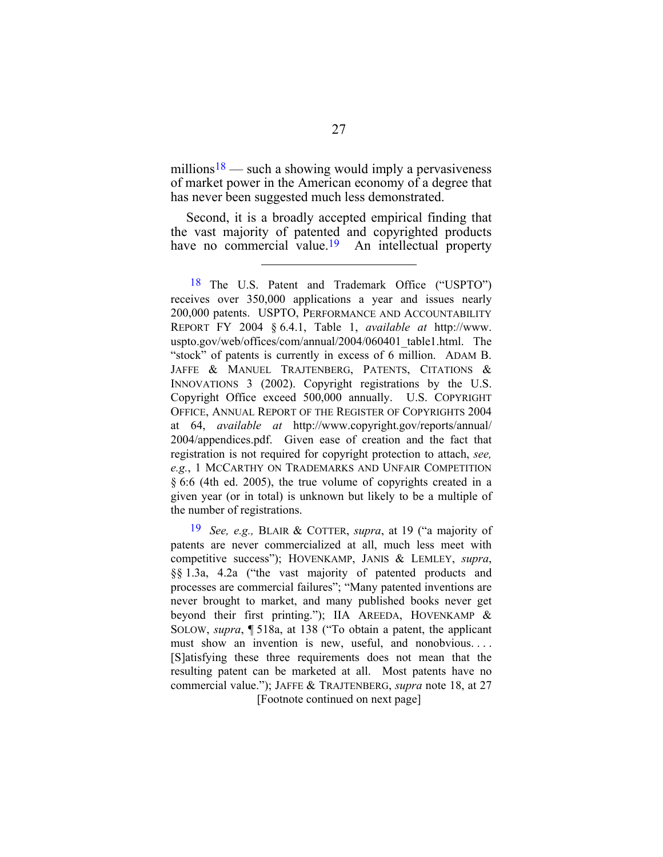millions<sup>18</sup> — such a showing would imply a pervasiveness of mark[et p](#page-35-0)ower in the American economy of a degree that has never been suggested much less demonstrated.

Second, it is a broadly accepted empirical finding that the vast majority of patented and copyrighted products have no commercial value.<sup>19</sup> An intellectual property have no commercial value.<sup>19</sup>

<span id="page-35-1"></span>[Footnote continued on next page] 19 *See, e.g.,* BLAIR & COTTER, *supra*, at 19 ("a majority of patents are never commercialized at all, much less meet with competitive success"); HOVENKAMP, JANIS & LEMLEY, *supra*, §§ 1.3a, 4.2a ("the vast majority of patented products and processes are commercial failures"; "Many patented inventions are never brought to market, and many published books never get beyond their first printing."); IIA AREEDA, HOVENKAMP & SOLOW, *supra*, ¶ 518a, at 138 ("To obtain a patent, the applicant must show an invention is new, useful, and nonobvious. . . . [S]atisfying these three requirements does not mean that the resulting patent can be marketed at all. Most patents have no commercial value."); JAFFE & TRAJTENBERG, *supra* note 18, at 27

<span id="page-35-0"></span><sup>18</sup> The U.S. Patent and Trademark Office ("USPTO") receives over 350,000 applications a year and issues nearly 200,000 patents. USPTO, PERFORMANCE AND ACCOUNTABILITY REPORT FY 2004 § 6.4.1, Table 1, *available at* [http://www.](http:// www. uspto.gov/web/) [uspto.gov/web/](http:// www. uspto.gov/web/)offices/com/annual/2004/060401\_table1.html. The "stock" of patents is currently in excess of 6 million. ADAM B. JAFFE & MANUEL TRAJTENBERG, PATENTS, CITATIONS & INNOVATIONS 3 (2002). Copyright registrations by the U.S. Copyright Office exceed 500,000 annually. U.S. COPYRIGHT OFFICE, ANNUAL REPORT OF THE REGISTER OF COPYRIGHTS 2004 at 64, *available at* <http://www.copyright.gov/reports/annual/> 2004/appendices.pdf. Given ease of creation and the fact that registration is not required for copyright protection to attach, *see, e.g.*, 1 MCCARTHY ON TRADEMARKS AND UNFAIR COMPETITION § 6:6 (4th ed. 2005), the true volume of copyrights created in a given year (or in total) is unknown but likely to be a multiple of the number of registrations.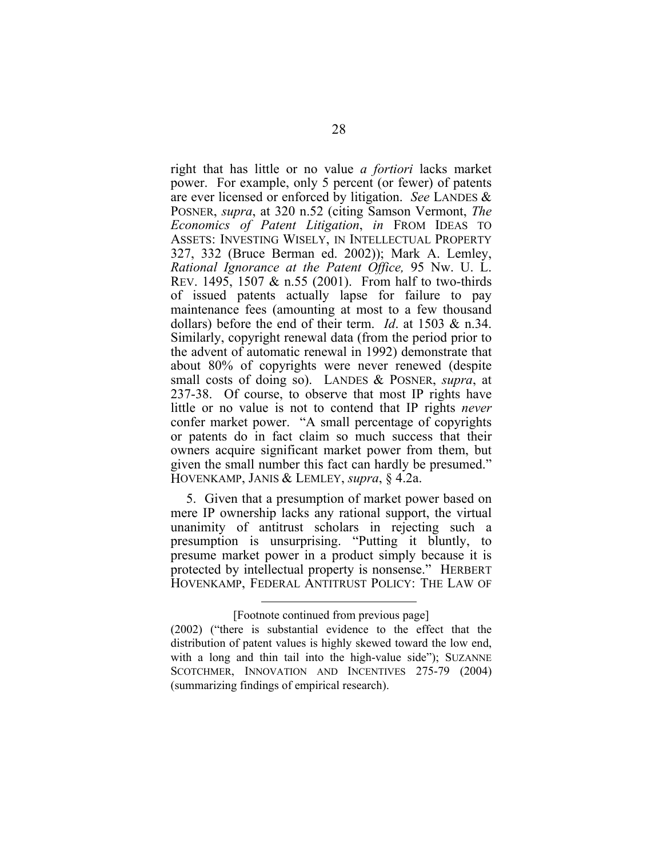right that has little or no value *a fortiori* lacks market power. For example, only 5 percent (or fewer) of patents are ever licensed or enforced by litigation. *See* LANDES & POSNER, *supra*, at 320 n.52 (citing Samson Vermont, *The Economics of Patent Litigation*, *in* FROM IDEAS TO ASSETS: INVESTING WISELY, IN INTELLECTUAL PROPERTY 327, 332 (Bruce Berman ed. 2002)); Mark A. Lemley, *Rational Ignorance at the Patent Office,* 95 Nw. U. L. REV. 1495, 1507 & n.55 (2001). From half to two-thirds of issued patents actually lapse for failure to pay maintenance fees (amounting at most to a few thousand dollars) before the end of their term. *Id*. at 1503 & n.34. Similarly, copyright renewal data (from the period prior to the advent of automatic renewal in 1992) demonstrate that about 80% of copyrights were never renewed (despite small costs of doing so). LANDES & POSNER, *supra*, at 237-38. Of course, to observe that most IP rights have little or no value is not to contend that IP rights *never*  confer market power. "A small percentage of copyrights or patents do in fact claim so much success that their owners acquire significant market power from them, but given the small number this fact can hardly be presumed." HOVENKAMP, JANIS & LEMLEY, *supra*, § 4.2a.

5. Given that a presumption of market power based on mere IP ownership lacks any rational support, the virtual unanimity of antitrust scholars in rejecting such a presumption is unsurprising. "Putting it bluntly, to presume market power in a product simply because it is protected by intellectual property is nonsense." HERBERT HOVENKAMP, FEDERAL ANTITRUST POLICY: THE LAW OF

<sup>[</sup>Footnote continued from previous page]

<sup>(2002) (&</sup>quot;there is substantial evidence to the effect that the distribution of patent values is highly skewed toward the low end, with a long and thin tail into the high-value side"); SUZANNE SCOTCHMER, INNOVATION AND INCENTIVES 275-79 (2004) (summarizing findings of empirical research).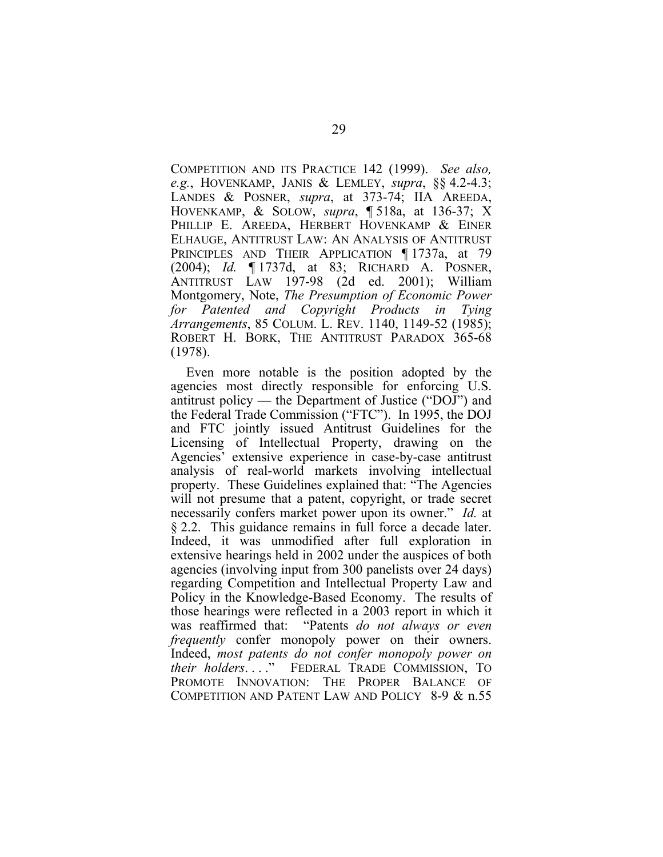COMPETITION AND ITS PRACTICE 142 (1999). *See also, e.g.*, HOVENKAMP, JANIS & LEMLEY, *supra*, §§ 4.2-4.3; LANDES & POSNER, *supra*, at 373-74; IIA AREEDA, HOVENKAMP, & SOLOW, *supra*, ¶ 518a, at 136-37; X PHILLIP E. AREEDA, HERBERT HOVENKAMP & EINER ELHAUGE, ANTITRUST LAW: AN ANALYSIS OF ANTITRUST PRINCIPLES AND THEIR APPLICATION 1737a, at 79 (2004); *Id.* ¶ 1737d, at 83; RICHARD A. POSNER, ANTITRUST LAW 197-98 (2d ed. 2001); William Montgomery, Note, *The Presumption of Economic Power for Patented and Copyright Products in Tying Arrangements*, 85 COLUM. L. REV. 1140, 1149-52 (1985); ROBERT H. BORK, THE ANTITRUST PARADOX 365-68 (1978).

Even more notable is the position adopted by the agencies most directly responsible for enforcing U.S. antitrust policy — the Department of Justice ("DOJ") and the Federal Trade Commission ("FTC"). In 1995, the DOJ and FTC jointly issued Antitrust Guidelines for the Licensing of Intellectual Property, drawing on the Agencies' extensive experience in case-by-case antitrust analysis of real-world markets involving intellectual property. These Guidelines explained that: "The Agencies will not presume that a patent, copyright, or trade secret necessarily confers market power upon its owner." *Id.* at § 2.2. This guidance remains in full force a decade later. Indeed, it was unmodified after full exploration in extensive hearings held in 2002 under the auspices of both agencies (involving input from 300 panelists over 24 days) regarding Competition and Intellectual Property Law and Policy in the Knowledge-Based Economy. The results of those hearings were reflected in a 2003 report in which it was reaffirmed that: "Patents *do not always or even frequently* confer monopoly power on their owners. Indeed, *most patents do not confer monopoly power on their holders*. . . ." FEDERAL TRADE COMMISSION, TO PROMOTE INNOVATION: THE PROPER BALANCE OF COMPETITION AND PATENT LAW AND POLICY 8-9 & n.55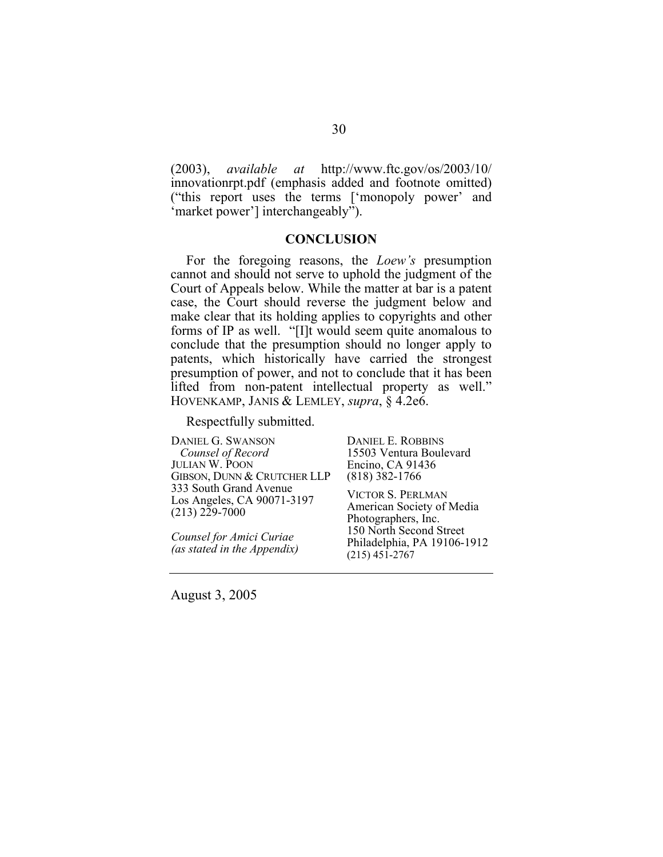<span id="page-38-0"></span>(2003), *available at* <http://www.ftc.gov/os/2003/10/> innovationrpt.pdf (emphasis added and footnote omitted) ("this report uses the terms ['monopoly power' and 'market power'] interchangeably").

#### **CONCLUSION**

For the foregoing reasons, the *Loew's* presumption cannot and should not serve to uphold the judgment of the Court of Appeals below. While the matter at bar is a patent case, the Court should reverse the judgment below and make clear that its holding applies to copyrights and other forms of IP as well. "[I]t would seem quite anomalous to conclude that the presumption should no longer apply to patents, which historically have carried the strongest presumption of power, and not to conclude that it has been lifted from non-patent intellectual property as well." HOVENKAMP, JANIS & LEMLEY, *supra*, § 4.2e6.

Respectfully submitted.

DANIEL G. SWANSON  *Counsel of Record*  JULIAN W. POON GIBSON, DUNN & CRUTCHER LLP 333 South Grand Avenue Los Angeles, CA 90071-3197  $(213)$   $2\bar{2}9 - 7000$ 

*Counsel for Amici Curiae (as stated in the Appendix)* DANIEL E. ROBBINS 15503 Ventura Boulevard Encino, CA 91436 (818) 382-1766

VICTOR S. PERLMAN American Society of Media Photographers, Inc. 150 North Second Street Philadelphia, PA 19106-1912 (215) 451-2767

August 3, 2005